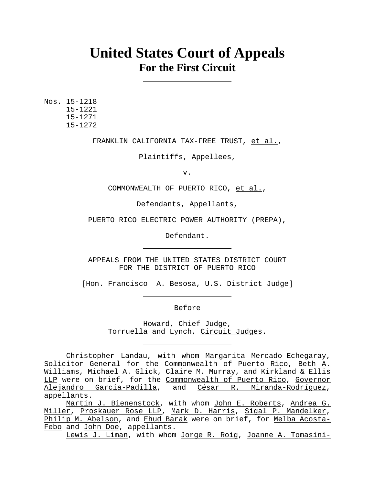# **United States Court of Appeals For the First Circuit**

Nos. 15-1218 15-1221 15-1271 15-1272

FRANKLIN CALIFORNIA TAX-FREE TRUST, et al.,

Plaintiffs, Appellees,

v.

COMMONWEALTH OF PUERTO RICO, et al.,

Defendants, Appellants,

PUERTO RICO ELECTRIC POWER AUTHORITY (PREPA),

Defendant.

APPEALS FROM THE UNITED STATES DISTRICT COURT FOR THE DISTRICT OF PUERTO RICO

[Hon. Francisco A. Besosa, U.S. District Judge]

Before

Howard, Chief Judge, Torruella and Lynch, Circuit Judges.

Lewis J. Liman, with whom Jorge R. Roig, Joanne A. Tomasini-

Christopher Landau, with whom Margarita Mercado-Echegaray, Solicitor General for the Commonwealth of Puerto Rico, Beth A. Williams, Michael A. Glick, Claire M. Murray, and Kirkland & Ellis LLP were on brief, for the Commonwealth of Puerto Rico, Governor Alejandro García-Padilla, and César R. Miranda-Rodríguez, appellants.

Martin J. Bienenstock, with whom John E. Roberts, Andrea G. Miller, Proskauer Rose LLP, Mark D. Harris, Sigal P. Mandelker, Philip M. Abelson, and Ehud Barak were on brief, for Melba Acosta-Febo and John Doe, appellants.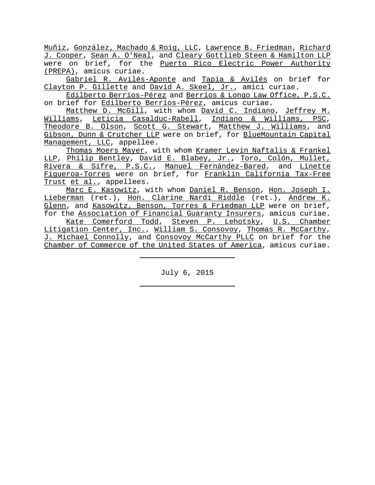Muñiz, González, Machado & Roig, LLC, Lawrence B. Friedman, Richard J. Cooper, Sean A. O'Neal, and Cleary Gottlieb Steen & Hamilton LLP were on brief, for the Puerto Rico Electric Power Authority (PREPA), amicus curiae.

Gabriel R. Avilés-Aponte and Tapia & Avilés on brief for Clayton P. Gillette and David A. Skeel, Jr., amici curiae.

Edilberto Berríos-Pérez and Berríos & Longo Law Office, P.S.C. on brief for Edilberto Berríos-Pérez, amicus curiae.

Matthew D. McGill, with whom David C. Indiano, Jeffrey M. Williams, Leticia Casalduc-Rabell, Indiano & Williams, PSC, Theodore B. Olson, Scott G. Stewart, Matthew J. Williams, and Gibson, Dunn & Crutcher LLP were on brief, for BlueMountain Capital Management, LLC, appellee.

Thomas Moers Mayer, with whom Kramer Levin Naftalis & Frankel LLP, Philip Bentley, David E. Blabey, Jr., Toro, Colón, Mullet, Rivera & Sifre, P.S.C., Manuel Fernández-Bared, and Linette Figueroa-Torres were on brief, for Franklin California Tax-Free Trust et al., appellees.

Marc E. Kasowitz, with whom Daniel R. Benson, Hon. Joseph I. Lieberman (ret.), Hon. Clarine Nardi Riddle (ret.), Andrew K. Glenn, and Kasowitz, Benson, Torres & Friedman LLP were on brief, for the Association of Financial Guaranty Insurers, amicus curiae.

Kate Comerford Todd, Steven P. Lehotsky, U.S. Chamber Litigation Center, Inc., William S. Consovoy, Thomas R. McCarthy, J. Michael Connolly, and Consovoy McCarthy PLLC on brief for the Chamber of Commerce of the United States of America, amicus curiae.

July 6, 2015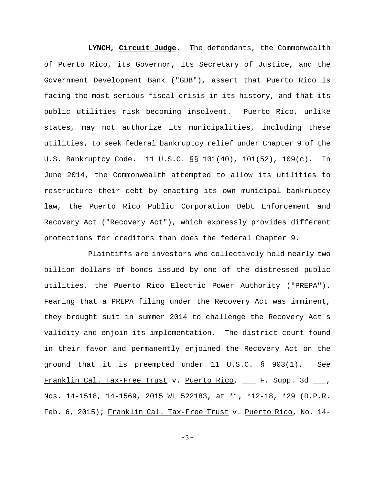**LYNCH, Circuit Judge**. The defendants, the Commonwealth of Puerto Rico, its Governor, its Secretary of Justice, and the Government Development Bank ("GDB"), assert that Puerto Rico is facing the most serious fiscal crisis in its history, and that its public utilities risk becoming insolvent. Puerto Rico, unlike states, may not authorize its municipalities, including these utilities, to seek federal bankruptcy relief under Chapter 9 of the U.S. Bankruptcy Code. 11 U.S.C. §§ 101(40), 101(52), 109(c). In June 2014, the Commonwealth attempted to allow its utilities to restructure their debt by enacting its own municipal bankruptcy law, the Puerto Rico Public Corporation Debt Enforcement and Recovery Act ("Recovery Act"), which expressly provides different protections for creditors than does the federal Chapter 9.

Plaintiffs are investors who collectively hold nearly two billion dollars of bonds issued by one of the distressed public utilities, the Puerto Rico Electric Power Authority ("PREPA"). Fearing that a PREPA filing under the Recovery Act was imminent, they brought suit in summer 2014 to challenge the Recovery Act's validity and enjoin its implementation. The district court found in their favor and permanently enjoined the Recovery Act on the ground that it is preempted under 11 U.S.C. § 903(1). See Franklin Cal. Tax-Free Trust v. Puerto Rico, \_\_\_ F. Supp. 3d \_\_\_, Nos. 14-1518, 14-1569, 2015 WL 522183, at \*1, \*12-18, \*29 (D.P.R. Feb. 6, 2015); Franklin Cal. Tax-Free Trust v. Puerto Rico, No. 14-

-3-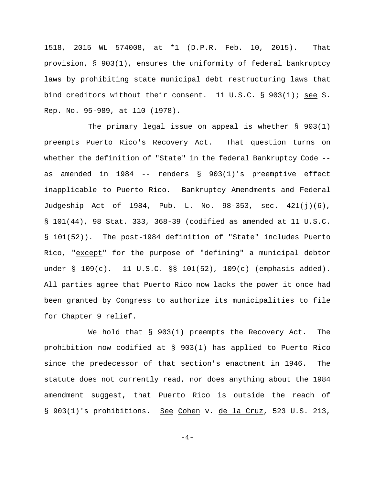1518, 2015 WL 574008, at \*1 (D.P.R. Feb. 10, 2015). That provision, § 903(1), ensures the uniformity of federal bankruptcy laws by prohibiting state municipal debt restructuring laws that bind creditors without their consent. 11 U.S.C. § 903(1); see S. Rep. No. 95-989, at 110 (1978).

The primary legal issue on appeal is whether § 903(1) preempts Puerto Rico's Recovery Act. That question turns on whether the definition of "State" in the federal Bankruptcy Code - as amended in 1984 -- renders § 903(1)'s preemptive effect inapplicable to Puerto Rico. Bankruptcy Amendments and Federal Judgeship Act of 1984, Pub. L. No. 98-353, sec. 421(j)(6), § 101(44), 98 Stat. 333, 368-39 (codified as amended at 11 U.S.C. § 101(52)). The post-1984 definition of "State" includes Puerto Rico, "except" for the purpose of "defining" a municipal debtor under § 109(c). 11 U.S.C. §§ 101(52), 109(c) (emphasis added). All parties agree that Puerto Rico now lacks the power it once had been granted by Congress to authorize its municipalities to file for Chapter 9 relief.

We hold that § 903(1) preempts the Recovery Act. The prohibition now codified at § 903(1) has applied to Puerto Rico since the predecessor of that section's enactment in 1946. The statute does not currently read, nor does anything about the 1984 amendment suggest, that Puerto Rico is outside the reach of § 903(1)'s prohibitions. See Cohen v. de la Cruz, 523 U.S. 213,

-4-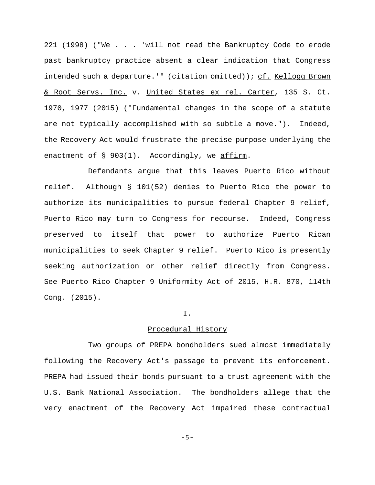221 (1998) ("We . . . 'will not read the Bankruptcy Code to erode past bankruptcy practice absent a clear indication that Congress intended such a departure.'" (citation omitted)); cf. Kellogg Brown & Root Servs. Inc. v. United States ex rel. Carter, 135 S. Ct. 1970, 1977 (2015) ("Fundamental changes in the scope of a statute are not typically accomplished with so subtle a move."). Indeed, the Recovery Act would frustrate the precise purpose underlying the enactment of § 903(1). Accordingly, we affirm.

Defendants argue that this leaves Puerto Rico without relief. Although § 101(52) denies to Puerto Rico the power to authorize its municipalities to pursue federal Chapter 9 relief, Puerto Rico may turn to Congress for recourse. Indeed, Congress preserved to itself that power to authorize Puerto Rican municipalities to seek Chapter 9 relief. Puerto Rico is presently seeking authorization or other relief directly from Congress. See Puerto Rico Chapter 9 Uniformity Act of 2015, H.R. 870, 114th Cong. (2015).

#### I.

### Procedural History

Two groups of PREPA bondholders sued almost immediately following the Recovery Act's passage to prevent its enforcement. PREPA had issued their bonds pursuant to a trust agreement with the U.S. Bank National Association. The bondholders allege that the very enactment of the Recovery Act impaired these contractual

-5-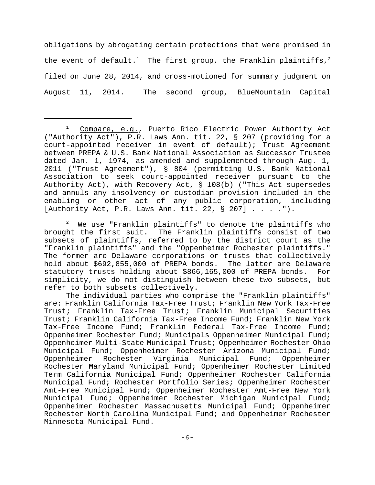obligations by abrogating certain protections that were promised in the event of default.<sup>1</sup> The first group, the Franklin plaintiffs,<sup>2</sup> filed on June 28, 2014, and cross-motioned for summary judgment on August 11, 2014. The second group, BlueMountain Capital

2 We use "Franklin plaintiffs" to denote the plaintiffs who brought the first suit. The Franklin plaintiffs consist of two subsets of plaintiffs, referred to by the district court as the "Franklin plaintiffs" and the "Oppenheimer Rochester plaintiffs." The former are Delaware corporations or trusts that collectively hold about \$692,855,000 of PREPA bonds. The latter are Delaware statutory trusts holding about \$866,165,000 of PREPA bonds. For simplicity, we do not distinguish between these two subsets, but refer to both subsets collectively.

The individual parties who comprise the "Franklin plaintiffs" are: Franklin California Tax-Free Trust; Franklin New York Tax-Free Trust; Franklin Tax-Free Trust; Franklin Municipal Securities Trust; Franklin California Tax-Free Income Fund; Franklin New York Tax-Free Income Fund; Franklin Federal Tax-Free Income Fund; Oppenheimer Rochester Fund; Municipals Oppenheimer Municipal Fund; Oppenheimer Multi-State Municipal Trust; Oppenheimer Rochester Ohio Municipal Fund; Oppenheimer Rochester Arizona Municipal Fund; Oppenheimer Rochester Virginia Municipal Fund; Oppenheimer Rochester Maryland Municipal Fund; Oppenheimer Rochester Limited Term California Municipal Fund; Oppenheimer Rochester California Municipal Fund; Rochester Portfolio Series; Oppenheimer Rochester Amt-Free Municipal Fund; Oppenheimer Rochester Amt-Free New York Municipal Fund; Oppenheimer Rochester Michigan Municipal Fund; Oppenheimer Rochester Massachusetts Municipal Fund; Oppenheimer Rochester North Carolina Municipal Fund; and Oppenheimer Rochester Minnesota Municipal Fund.

<sup>1</sup> Compare, e.g., Puerto Rico Electric Power Authority Act ("Authority Act"), P.R. Laws Ann. tit. 22, § 207 (providing for a court-appointed receiver in event of default); Trust Agreement between PREPA & U.S. Bank National Association as Successor Trustee dated Jan. 1, 1974, as amended and supplemented through Aug. 1, 2011 ("Trust Agreement"), § 804 (permitting U.S. Bank National Association to seek court-appointed receiver pursuant to the Authority Act), with Recovery Act, § 108(b) ("This Act supersedes and annuls any insolvency or custodian provision included in the enabling or other act of any public corporation, including [Authority Act, P.R. Laws Ann. tit. 22, § 207] . . . .").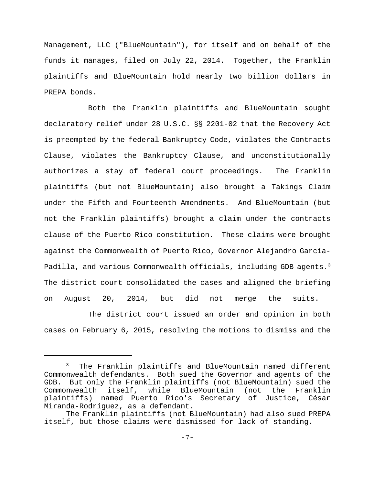Management, LLC ("BlueMountain"), for itself and on behalf of the funds it manages, filed on July 22, 2014. Together, the Franklin plaintiffs and BlueMountain hold nearly two billion dollars in PREPA bonds.

Both the Franklin plaintiffs and BlueMountain sought declaratory relief under 28 U.S.C. §§ 2201-02 that the Recovery Act is preempted by the federal Bankruptcy Code, violates the Contracts Clause, violates the Bankruptcy Clause, and unconstitutionally authorizes a stay of federal court proceedings. The Franklin plaintiffs (but not BlueMountain) also brought a Takings Claim under the Fifth and Fourteenth Amendments. And BlueMountain (but not the Franklin plaintiffs) brought a claim under the contracts clause of the Puerto Rico constitution.These claims were brought against the Commonwealth of Puerto Rico, Governor Alejandro García-Padilla, and various Commonwealth officials, including GDB agents.<sup>3</sup> The district court consolidated the cases and aligned the briefing on August 20, 2014, but did not merge the suits.

The district court issued an order and opinion in both cases on February 6, 2015, resolving the motions to dismiss and the

<sup>&</sup>lt;sup>3</sup> The Franklin plaintiffs and BlueMountain named different Commonwealth defendants. Both sued the Governor and agents of the GDB. But only the Franklin plaintiffs (not BlueMountain) sued the Commonwealth itself, while BlueMountain (not the Franklin plaintiffs) named Puerto Rico's Secretary of Justice, César Miranda-Rodríguez, as a defendant.

The Franklin plaintiffs (not BlueMountain) had also sued PREPA itself, but those claims were dismissed for lack of standing.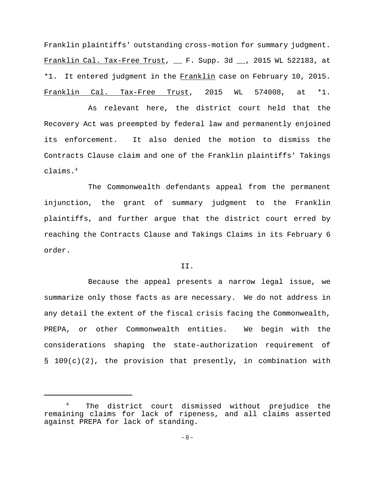Franklin plaintiffs' outstanding cross-motion for summary judgment. Franklin Cal. Tax-Free Trust, \_\_ F. Supp. 3d \_\_, 2015 WL 522183, at \*1. It entered judgment in the Franklin case on February 10, 2015. Franklin Cal. Tax-Free Trust, 2015 WL 574008, at \*1.

As relevant here, the district court held that the Recovery Act was preempted by federal law and permanently enjoined its enforcement. It also denied the motion to dismiss the Contracts Clause claim and one of the Franklin plaintiffs' Takings claims.4

The Commonwealth defendants appeal from the permanent injunction, the grant of summary judgment to the Franklin plaintiffs, and further argue that the district court erred by reaching the Contracts Clause and Takings Claims in its February 6 order.

#### II.

Because the appeal presents a narrow legal issue, we summarize only those facts as are necessary. We do not address in any detail the extent of the fiscal crisis facing the Commonwealth, PREPA, or other Commonwealth entities. We begin with the considerations shaping the state-authorization requirement of § 109(c)(2), the provision that presently, in combination with

<sup>4</sup> The district court dismissed without prejudice the remaining claims for lack of ripeness, and all claims asserted against PREPA for lack of standing.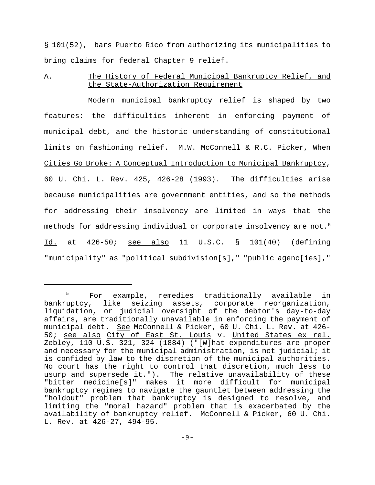§ 101(52), bars Puerto Rico from authorizing its municipalities to bring claims for federal Chapter 9 relief.

A. The History of Federal Municipal Bankruptcy Relief, and the State-Authorization Requirement

Modern municipal bankruptcy relief is shaped by two features: the difficulties inherent in enforcing payment of municipal debt, and the historic understanding of constitutional limits on fashioning relief. M.W. McConnell & R.C. Picker, When Cities Go Broke: A Conceptual Introduction to Municipal Bankruptcy, 60 U. Chi. L. Rev. 425, 426-28 (1993). The difficulties arise because municipalities are government entities, and so the methods for addressing their insolvency are limited in ways that the methods for addressing individual or corporate insolvency are not.<sup>5</sup>  $\underline{Id.}$  at  $426-50$ ; <u>see also</u> 11 U.S.C. § 101(40) (defining "municipality" as "political subdivision[s]," "public agenc[ies],"

<sup>&</sup>lt;sup>5</sup> For example, remedies traditionally available in bankruptcy, like seizing assets, corporate reorganization, liquidation, or judicial oversight of the debtor's day-to-day affairs, are traditionally unavailable in enforcing the payment of municipal debt. See McConnell & Picker, 60 U. Chi. L. Rev. at 426- 50; see also City of East St. Louis v. United States ex rel. Zebley, 110 U.S. 321, 324 (1884) ("[W]hat expenditures are proper and necessary for the municipal administration, is not judicial; it is confided by law to the discretion of the municipal authorities. No court has the right to control that discretion, much less to usurp and supersede it."). The relative unavailability of these "bitter medicine[s]" makes it more difficult for municipal bankruptcy regimes to navigate the gauntlet between addressing the "holdout" problem that bankruptcy is designed to resolve, and limiting the "moral hazard" problem that is exacerbated by the availability of bankruptcy relief. McConnell & Picker, 60 U. Chi. L. Rev. at 426-27, 494-95.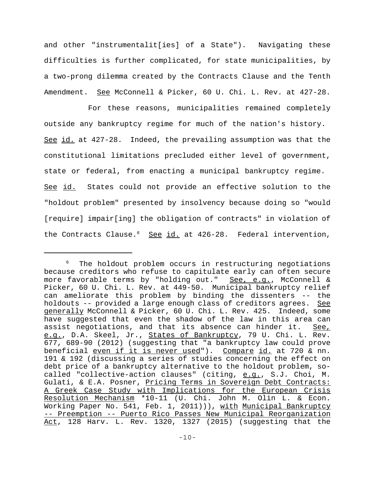and other "instrumentalit[ies] of a State"). Navigating these difficulties is further complicated, for state municipalities, by a two-prong dilemma created by the Contracts Clause and the Tenth Amendment. See McConnell & Picker, 60 U. Chi. L. Rev. at 427-28.

For these reasons, municipalities remained completely outside any bankruptcy regime for much of the nation's history. See id. at 427-28. Indeed, the prevailing assumption was that the constitutional limitations precluded either level of government, state or federal, from enacting a municipal bankruptcy regime. See id. States could not provide an effective solution to the "holdout problem" presented by insolvency because doing so "would [require] impair[ing] the obligation of contracts" in violation of the Contracts Clause.<sup>6</sup> See id. at 426-28. Federal intervention,

<sup>&</sup>lt;sup>6</sup> The holdout problem occurs in restructuring negotiations because creditors who refuse to capitulate early can often secure more favorable terms by "holding out." See, e.g., McConnell & Picker, 60 U. Chi. L. Rev. at 449-50. Municipal bankruptcy relief can ameliorate this problem by binding the dissenters -- the holdouts -- provided a large enough class of creditors agrees. See generally McConnell & Picker, 60 U. Chi. L. Rev. 425. Indeed, some have suggested that even the shadow of the law in this area can assist negotiations, and that its absence can hinder it. See, e.g., D.A. Skeel, Jr., States of Bankruptcy, 79 U. Chi. L. Rev. 677, 689-90 (2012) (suggesting that "a bankruptcy law could prove beneficial even if it is never used"). Compare id. at 720 & nn. 191 & 192 (discussing a series of studies concerning the effect on debt price of a bankruptcy alternative to the holdout problem, socalled "collective-action clauses" (citing, e.g., S.J. Choi, M. Gulati, & E.A. Posner, Pricing Terms in Sovereign Debt Contracts: A Greek Case Study with Implications for the European Crisis Resolution Mechanism \*10-11 (U. Chi. John M. Olin L. & Econ. Working Paper No. 541, Feb. 1, 2011))), with Municipal Bankruptcy -- Preemption -- Puerto Rico Passes New Municipal Reorganization Act, 128 Harv. L. Rev. 1320, 1327 (2015) (suggesting that the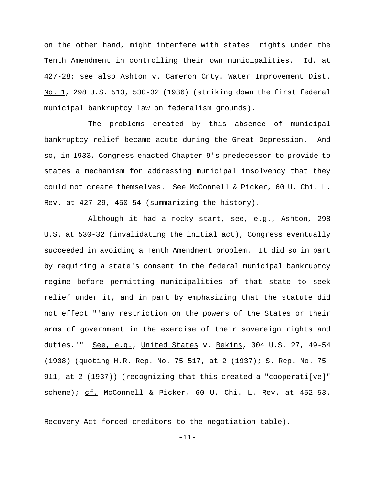on the other hand, might interfere with states' rights under the Tenth Amendment in controlling their own municipalities. Id. at 427-28; see also Ashton v. Cameron Cnty. Water Improvement Dist. No. 1, 298 U.S. 513, 530-32 (1936) (striking down the first federal municipal bankruptcy law on federalism grounds).

The problems created by this absence of municipal bankruptcy relief became acute during the Great Depression. And so, in 1933, Congress enacted Chapter 9's predecessor to provide to states a mechanism for addressing municipal insolvency that they could not create themselves. See McConnell & Picker, 60 U. Chi. L. Rev. at 427-29, 450-54 (summarizing the history).

Although it had a rocky start, see, e.g., Ashton, 298 U.S. at 530-32 (invalidating the initial act), Congress eventually succeeded in avoiding a Tenth Amendment problem. It did so in part by requiring a state's consent in the federal municipal bankruptcy regime before permitting municipalities of that state to seek relief under it, and in part by emphasizing that the statute did not effect "'any restriction on the powers of the States or their arms of government in the exercise of their sovereign rights and duties.'" See, e.g., United States v. Bekins, 304 U.S. 27, 49-54 (1938) (quoting H.R. Rep. No. 75-517, at 2 (1937); S. Rep. No. 75- 911, at 2 (1937)) (recognizing that this created a "cooperati[ve]" scheme);  $cf.$  McConnell & Picker, 60 U. Chi. L. Rev. at  $452-53$ .

Recovery Act forced creditors to the negotiation table).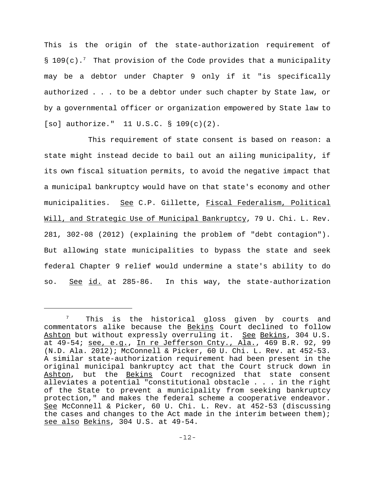This is the origin of the state-authorization requirement of §  $109(c)$ .<sup>7</sup> That provision of the Code provides that a municipality may be a debtor under Chapter 9 only if it "is specifically authorized . . . to be a debtor under such chapter by State law, or by a governmental officer or organization empowered by State law to [so] authorize." 11 U.S.C. § 109(c)(2).

This requirement of state consent is based on reason: a state might instead decide to bail out an ailing municipality, if its own fiscal situation permits, to avoid the negative impact that a municipal bankruptcy would have on that state's economy and other municipalities. See C.P. Gillette, Fiscal Federalism, Political Will, and Strategic Use of Municipal Bankruptcy, 79 U. Chi. L. Rev. 281, 302-08 (2012) (explaining the problem of "debt contagion"). But allowing state municipalities to bypass the state and seek federal Chapter 9 relief would undermine a state's ability to do so. See id. at 285-86. In this way, the state-authorization

 $7$  This is the historical gloss given by courts and commentators alike because the Bekins Court declined to follow Ashton but without expressly overruling it. See Bekins, 304 U.S. at 49-54; see, e.g., In re Jefferson Cnty., Ala., 469 B.R. 92, 99 (N.D. Ala. 2012); McConnell & Picker, 60 U. Chi. L. Rev. at 452-53. A similar state-authorization requirement had been present in the original municipal bankruptcy act that the Court struck down in Ashton, but the Bekins Court recognized that state consent alleviates a potential "constitutional obstacle . . . in the right of the State to prevent a municipality from seeking bankruptcy protection," and makes the federal scheme a cooperative endeavor. See McConnell & Picker, 60 U. Chi. L. Rev. at 452-53 (discussing the cases and changes to the Act made in the interim between them); see also Bekins, 304 U.S. at 49-54.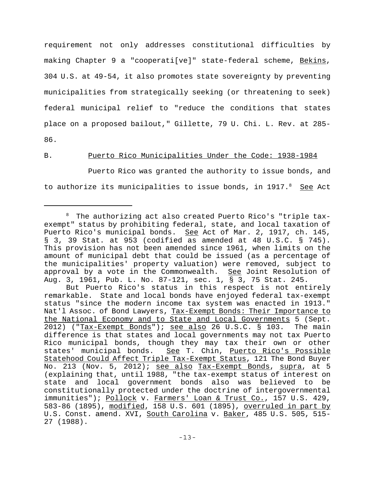requirement not only addresses constitutional difficulties by making Chapter 9 a "cooperati[ve]" state-federal scheme, Bekins, 304 U.S. at 49-54, it also promotes state sovereignty by preventing municipalities from strategically seeking (or threatening to seek) federal municipal relief to "reduce the conditions that states place on a proposed bailout," Gillette, 79 U. Chi. L. Rev. at 285- 86.

## B. Puerto Rico Municipalities Under the Code: 1938-1984

Puerto Rico was granted the authority to issue bonds, and to authorize its municipalities to issue bonds, in  $1917.^8$  See Act

 $8$  The authorizing act also created Puerto Rico's "triple taxexempt" status by prohibiting federal, state, and local taxation of Puerto Rico's municipal bonds. See Act of Mar. 2, 1917, ch. 145, § 3, 39 Stat. at 953 (codified as amended at 48 U.S.C. § 745). This provision has not been amended since 1961, when limits on the amount of municipal debt that could be issued (as a percentage of the municipalities' property valuation) were removed, subject to approval by a vote in the Commonwealth. See Joint Resolution of Aug. 3, 1961, Pub. L. No. 87-121, sec. 1, § 3, 75 Stat. 245.

But Puerto Rico's status in this respect is not entirely remarkable. State and local bonds have enjoyed federal tax-exempt status "since the modern income tax system was enacted in 1913." Nat'l Assoc. of Bond Lawyers, Tax-Exempt Bonds: Their Importance to the National Economy and to State and Local Governments 5 (Sept. 2012) ("Tax-Exempt Bonds"); see also 26 U.S.C. § 103. The main difference is that states and local governments may not tax Puerto Rico municipal bonds, though they may tax their own or other states' municipal bonds. See T. Chin, Puerto Rico's Possible Statehood Could Affect Triple Tax-Exempt Status, 121 The Bond Buyer No. 213 (Nov. 5, 2012); see also Tax-Exempt Bonds, supra, at 5 (explaining that, until 1988, "the tax-exempt status of interest on state and local government bonds also was believed to be constitutionally protected under the doctrine of intergovernmental immunities"); Pollock v. Farmers' Loan & Trust Co., 157 U.S. 429, 583-86 (1895), modified, 158 U.S. 601 (1895), overruled in part by U.S. Const. amend. XVI, South Carolina v. Baker, 485 U.S. 505, 515-27 (1988).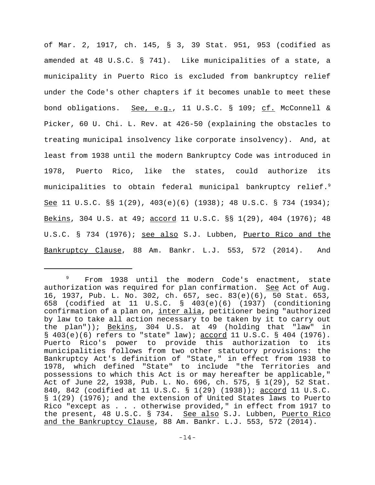of Mar. 2, 1917, ch. 145, § 3, 39 Stat. 951, 953 (codified as amended at 48 U.S.C. § 741). Like municipalities of a state, a municipality in Puerto Rico is excluded from bankruptcy relief under the Code's other chapters if it becomes unable to meet these bond obligations. See, e.g., 11 U.S.C. § 109; cf. McConnell & Picker, 60 U. Chi. L. Rev. at 426-50 (explaining the obstacles to treating municipal insolvency like corporate insolvency). And, at least from 1938 until the modern Bankruptcy Code was introduced in 1978, Puerto Rico, like the states, could authorize its municipalities to obtain federal municipal bankruptcy relief.<sup>9</sup> See 11 U.S.C. §§ 1(29), 403(e)(6) (1938); 48 U.S.C. § 734 (1934); Bekins, 304 U.S. at 49; accord 11 U.S.C. §§ 1(29), 404 (1976); 48 U.S.C. § 734 (1976); see also S.J. Lubben, Puerto Rico and the Bankruptcy Clause, 88 Am. Bankr. L.J. 553, 572 (2014). And

<sup>&</sup>lt;sup>9</sup> From 1938 until the modern Code's enactment, state authorization was required for plan confirmation. See Act of Aug. 16, 1937, Pub. L. No. 302, ch. 657, sec. 83(e)(6), 50 Stat. 653, 658 (codified at 11 U.S.C. § 403(e)(6) (1937) (conditioning confirmation of a plan on, inter alia, petitioner being "authorized by law to take all action necessary to be taken by it to carry out the plan")); Bekins, 304 U.S. at 49 (holding that "law" in  $\S$  403(e)(6) refers to "state" law); accord 11 U.S.C.  $\S$  404 (1976). Puerto Rico's power to provide this authorization to its municipalities follows from two other statutory provisions: the Bankruptcy Act's definition of "State," in effect from 1938 to 1978, which defined "State" to include "the Territories and possessions to which this Act is or may hereafter be applicable," Act of June 22, 1938, Pub. L. No. 696, ch. 575, § 1(29), 52 Stat. 840, 842 (codified at 11 U.S.C. § 1(29) (1938)); accord 11 U.S.C. § 1(29) (1976); and the extension of United States laws to Puerto Rico "except as . . . otherwise provided," in effect from 1917 to the present, 48 U.S.C. § 734. See also S.J. Lubben, Puerto Rico and the Bankruptcy Clause, 88 Am. Bankr. L.J. 553, 572 (2014).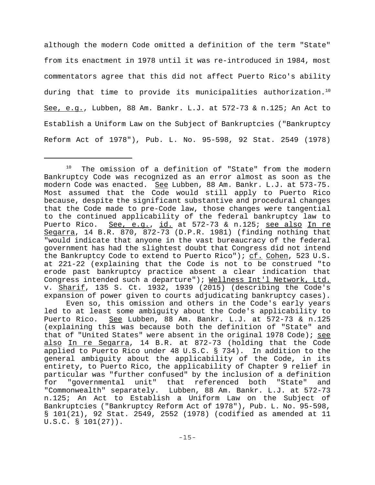although the modern Code omitted a definition of the term "State" from its enactment in 1978 until it was re-introduced in 1984, most commentators agree that this did not affect Puerto Rico's ability during that time to provide its municipalities authorization.<sup>10</sup> See, e.g., Lubben, 88 Am. Bankr. L.J. at 572-73 & n.125; An Act to Establish a Uniform Law on the Subject of Bankruptcies ("Bankruptcy Reform Act of 1978"), Pub. L. No. 95-598, 92 Stat. 2549 (1978)

<sup>&</sup>lt;sup>10</sup> The omission of a definition of "State" from the modern Bankruptcy Code was recognized as an error almost as soon as the modern Code was enacted. See Lubben, 88 Am. Bankr. L.J. at 573-75. Most assumed that the Code would still apply to Puerto Rico because, despite the significant substantive and procedural changes that the Code made to pre-Code law, those changes were tangential to the continued applicability of the federal bankruptcy law to Puerto Rico. See, e.g., id. at 572-73 & n.125; see also In re Segarra, 14 B.R. 870, 872-73 (D.P.R. 1981) (finding nothing that "would indicate that anyone in the vast bureaucracy of the federal government has had the slightest doubt that Congress did not intend the Bankruptcy Code to extend to Puerto Rico"); cf. Cohen, 523 U.S. at 221-22 (explaining that the Code is not to be construed "to erode past bankruptcy practice absent a clear indication that Congress intended such a departure"); Wellness Int'l Network, Ltd. v. Sharif, 135 S. Ct. 1932, 1939 (2015) (describing the Code's expansion of power given to courts adjudicating bankruptcy cases).

Even so, this omission and others in the Code's early years led to at least some ambiguity about the Code's applicability to Puerto Rico. See Lubben, 88 Am. Bankr. L.J. at 572-73 & n.125 (explaining this was because both the definition of "State" and that of "United States" were absent in the original 1978 Code); see also In re Segarra, 14 B.R. at 872-73 (holding that the Code applied to Puerto Rico under 48 U.S.C. § 734). In addition to the general ambiguity about the applicability of the Code, in its entirety, to Puerto Rico, the applicability of Chapter 9 relief in particular was "further confused" by the inclusion of a definition for "governmental unit" that referenced both "State" and "Commonwealth" separately. Lubben, 88 Am. Bankr. L.J. at 572-73 n.125; An Act to Establish a Uniform Law on the Subject of Bankruptcies ("Bankruptcy Reform Act of 1978"), Pub. L. No. 95-598, § 101(21), 92 Stat. 2549, 2552 (1978) (codified as amended at 11 U.S.C. § 101(27)).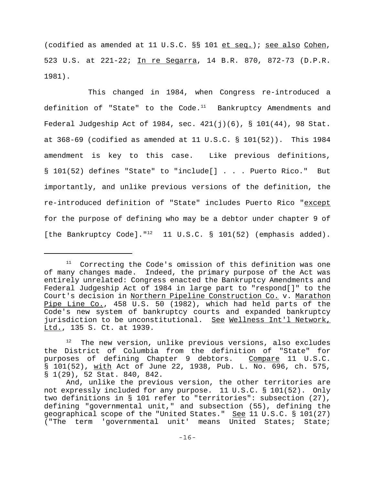(codified as amended at 11 U.S.C. §§ 101 et seq.); see also Cohen, 523 U.S. at 221-22; In re Segarra, 14 B.R. 870, 872-73 (D.P.R. 1981).

This changed in 1984, when Congress re-introduced a definition of "State" to the Code. $11$  Bankruptcy Amendments and Federal Judgeship Act of 1984, sec.  $421(j)(6)$ , §  $101(44)$ , 98 Stat. at 368-69 (codified as amended at 11 U.S.C. § 101(52)). This 1984 amendment is key to this case. Like previous definitions, § 101(52) defines "State" to "include[] . . . Puerto Rico." But importantly, and unlike previous versions of the definition, the re-introduced definition of "State" includes Puerto Rico "except for the purpose of defining who may be a debtor under chapter 9 of [the Bankruptcy Code]." $^{12}$  11 U.S.C. § 101(52) (emphasis added).

 $11$  Correcting the Code's omission of this definition was one of many changes made. Indeed, the primary purpose of the Act was entirely unrelated: Congress enacted the Bankruptcy Amendments and Federal Judgeship Act of 1984 in large part to "respond[]" to the Court's decision in Northern Pipeline Construction Co. v. Marathon Pipe Line Co., 458 U.S. 50 (1982), which had held parts of the Code's new system of bankruptcy courts and expanded bankruptcy jurisdiction to be unconstitutional. See Wellness Int'l Network, Ltd., 135 S. Ct. at 1939.

 $12$  The new version, unlike previous versions, also excludes the District of Columbia from the definition of "State" for purposes of defining Chapter 9 debtors. Compare 11 U.S.C. § 101(52), with Act of June 22, 1938, Pub. L. No. 696, ch. 575, § 1(29), 52 Stat. 840, 842.

And, unlike the previous version, the other territories are not expressly included for any purpose. 11 U.S.C. § 101(52). Only two definitions in § 101 refer to "territories": subsection (27), defining "governmental unit," and subsection (55), defining the geographical scope of the "United States." See 11 U.S.C. § 101(27) ("The term 'governmental unit' means United States; State;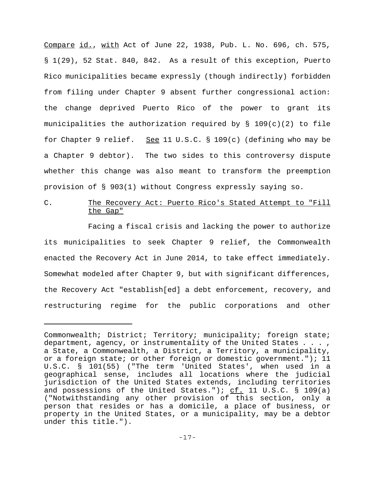Compare id., with Act of June 22, 1938, Pub. L. No. 696, ch. 575, § 1(29), 52 Stat. 840, 842. As a result of this exception, Puerto Rico municipalities became expressly (though indirectly) forbidden from filing under Chapter 9 absent further congressional action: the change deprived Puerto Rico of the power to grant its municipalities the authorization required by  $\S$  109(c)(2) to file for Chapter 9 relief. See 11 U.S.C. § 109(c) (defining who may be a Chapter 9 debtor). The two sides to this controversy dispute whether this change was also meant to transform the preemption provision of § 903(1) without Congress expressly saying so.

# C. The Recovery Act: Puerto Rico's Stated Attempt to "Fill the Gap"

Facing a fiscal crisis and lacking the power to authorize its municipalities to seek Chapter 9 relief, the Commonwealth enacted the Recovery Act in June 2014, to take effect immediately. Somewhat modeled after Chapter 9, but with significant differences, the Recovery Act "establish[ed] a debt enforcement, recovery, and restructuring regime for the public corporations and other

Commonwealth; District; Territory; municipality; foreign state; department, agency, or instrumentality of the United States . . . , a State, a Commonwealth, a District, a Territory, a municipality, or a foreign state; or other foreign or domestic government."); 11 U.S.C. § 101(55) ("The term 'United States', when used in a geographical sense, includes all locations where the judicial jurisdiction of the United States extends, including territories and possessions of the United States.");  $c f$ . 11 U.S.C. § 109(a) ("Notwithstanding any other provision of this section, only a person that resides or has a domicile, a place of business, or property in the United States, or a municipality, may be a debtor under this title.").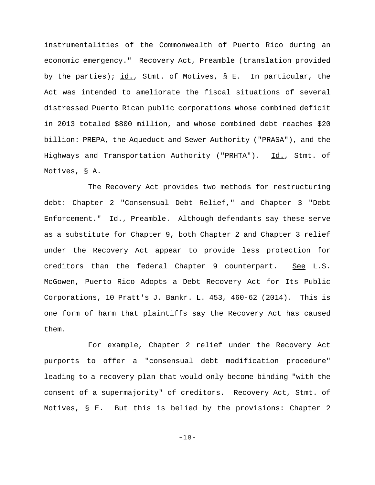instrumentalities of the Commonwealth of Puerto Rico during an economic emergency." Recovery Act, Preamble (translation provided by the parties); id., Stmt. of Motives, § E. In particular, the Act was intended to ameliorate the fiscal situations of several distressed Puerto Rican public corporations whose combined deficit in 2013 totaled \$800 million, and whose combined debt reaches \$20 billion: PREPA, the Aqueduct and Sewer Authority ("PRASA"), and the Highways and Transportation Authority ("PRHTA"). Id., Stmt. of Motives, § A.

The Recovery Act provides two methods for restructuring debt: Chapter 2 "Consensual Debt Relief," and Chapter 3 "Debt Enforcement."  $\underline{Id.}$ , Preamble. Although defendants say these serve as a substitute for Chapter 9, both Chapter 2 and Chapter 3 relief under the Recovery Act appear to provide less protection for creditors than the federal Chapter 9 counterpart. See L.S. McGowen, Puerto Rico Adopts a Debt Recovery Act for Its Public Corporations, 10 Pratt's J. Bankr. L. 453, 460-62 (2014). This is one form of harm that plaintiffs say the Recovery Act has caused them.

For example, Chapter 2 relief under the Recovery Act purports to offer a "consensual debt modification procedure" leading to a recovery plan that would only become binding "with the consent of a supermajority" of creditors. Recovery Act, Stmt. of Motives, § E. But this is belied by the provisions: Chapter 2

-18-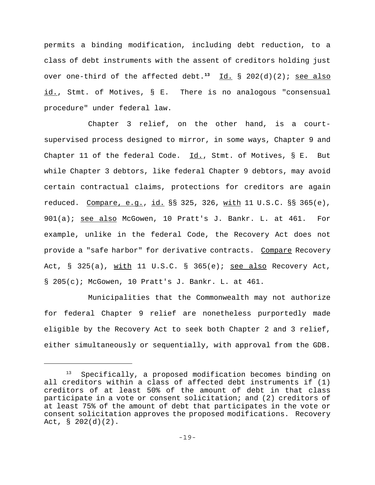permits a binding modification, including debt reduction, to a class of debt instruments with the assent of creditors holding just over one-third of the affected debt.<sup>13</sup> Id. § 202(d)(2); see also id., Stmt. of Motives, § E. There is no analogous "consensual procedure" under federal law.

Chapter 3 relief, on the other hand, is a courtsupervised process designed to mirror, in some ways, Chapter 9 and Chapter 11 of the federal Code. Id., Stmt. of Motives, § E. But while Chapter 3 debtors, like federal Chapter 9 debtors, may avoid certain contractual claims, protections for creditors are again reduced. Compare, e.g., id. §§ 325, 326, with 11 U.S.C. §§ 365(e), 901(a); see also McGowen, 10 Pratt's J. Bankr. L. at 461. For example, unlike in the federal Code, the Recovery Act does not provide a "safe harbor" for derivative contracts. Compare Recovery Act,  $\S$  325(a), with 11 U.S.C.  $\S$  365(e); see also Recovery Act, § 205(c); McGowen, 10 Pratt's J. Bankr. L. at 461.

Municipalities that the Commonwealth may not authorize for federal Chapter 9 relief are nonetheless purportedly made eligible by the Recovery Act to seek both Chapter 2 and 3 relief, either simultaneously or sequentially, with approval from the GDB.

Specifically, a proposed modification becomes binding on all creditors within a class of affected debt instruments if (1) creditors of at least 50% of the amount of debt in that class participate in a vote or consent solicitation; and (2) creditors of at least 75% of the amount of debt that participates in the vote or consent solicitation approves the proposed modifications. Recovery Act,  $\S$  202(d)(2).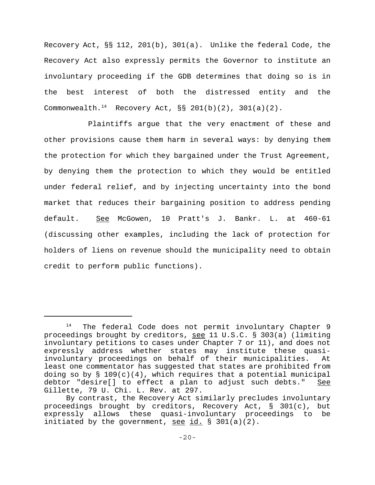Recovery Act, §§ 112, 201(b), 301(a). Unlike the federal Code, the Recovery Act also expressly permits the Governor to institute an involuntary proceeding if the GDB determines that doing so is in the best interest of both the distressed entity and the Commonwealth.<sup>14</sup> Recovery Act,  $\S$  201(b)(2), 301(a)(2).

Plaintiffs argue that the very enactment of these and other provisions cause them harm in several ways: by denying them the protection for which they bargained under the Trust Agreement, by denying them the protection to which they would be entitled under federal relief, and by injecting uncertainty into the bond market that reduces their bargaining position to address pending default. See McGowen, 10 Pratt's J. Bankr. L. at 460-61 (discussing other examples, including the lack of protection for holders of liens on revenue should the municipality need to obtain credit to perform public functions).

 $14$  The federal Code does not permit involuntary Chapter 9 proceedings brought by creditors, see 11 U.S.C. § 303(a) (limiting involuntary petitions to cases under Chapter 7 or 11), and does not expressly address whether states may institute these quasiinvoluntary proceedings on behalf of their municipalities. At least one commentator has suggested that states are prohibited from doing so by  $\S 109(c)(4)$ , which requires that a potential municipal debtor "desire[] to effect a plan to adjust such debts." See Gillette, 79 U. Chi. L. Rev. at 297.

By contrast, the Recovery Act similarly precludes involuntary proceedings brought by creditors, Recovery Act, § 301(c), but expressly allows these quasi-involuntary proceedings to be initiated by the government, see  $id. \$  § 301(a)(2).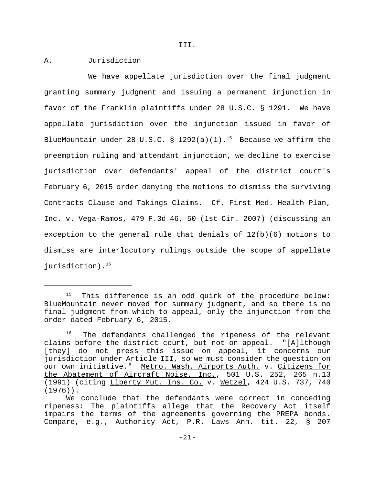III.

## A. Jurisdiction

We have appellate jurisdiction over the final judgment granting summary judgment and issuing a permanent injunction in favor of the Franklin plaintiffs under 28 U.S.C. § 1291. We have appellate jurisdiction over the injunction issued in favor of BlueMountain under 28 U.S.C. § 1292(a)(1).<sup>15</sup> Because we affirm the preemption ruling and attendant injunction, we decline to exercise jurisdiction over defendants' appeal of the district court's February 6, 2015 order denying the motions to dismiss the surviving Contracts Clause and Takings Claims. Cf. First Med. Health Plan, Inc. v. Vega-Ramos, 479 F.3d 46, 50 (1st Cir. 2007) (discussing an exception to the general rule that denials of 12(b)(6) motions to dismiss are interlocutory rulings outside the scope of appellate jurisdiction). $16$ 

<sup>&</sup>lt;sup>15</sup> This difference is an odd quirk of the procedure below: BlueMountain never moved for summary judgment, and so there is no final judgment from which to appeal, only the injunction from the order dated February 6, 2015.

<sup>&</sup>lt;sup>16</sup> The defendants challenged the ripeness of the relevant claims before the district court, but not on appeal. "[A]lthough [they] do not press this issue on appeal, it concerns our jurisdiction under Article III, so we must consider the question on our own initiative." Metro. Wash. Airports Auth. v. Citizens for the Abatement of Aircraft Noise, Inc., 501 U.S. 252, 265 n.13 (1991) (citing Liberty Mut. Ins. Co. v. Wetzel, 424 U.S. 737, 740 (1976)).

We conclude that the defendants were correct in conceding ripeness: The plaintiffs allege that the Recovery Act itself impairs the terms of the agreements governing the PREPA bonds. Compare, e.g., Authority Act, P.R. Laws Ann. tit. 22, § 207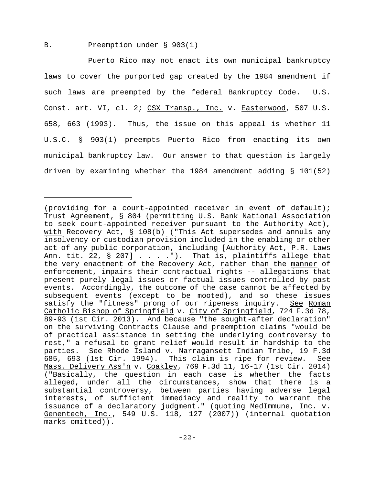#### B. Preemption under § 903(1)

Puerto Rico may not enact its own municipal bankruptcy laws to cover the purported gap created by the 1984 amendment if such laws are preempted by the federal Bankruptcy Code. U.S. Const. art. VI, cl. 2; CSX Transp., Inc. v. Easterwood, 507 U.S. 658, 663 (1993). Thus, the issue on this appeal is whether 11 U.S.C. § 903(1) preempts Puerto Rico from enacting its own municipal bankruptcy law. Our answer to that question is largely driven by examining whether the 1984 amendment adding § 101(52)

<sup>(</sup>providing for a court-appointed receiver in event of default); Trust Agreement, § 804 (permitting U.S. Bank National Association to seek court-appointed receiver pursuant to the Authority Act), with Recovery Act, § 108(b) ("This Act supersedes and annuls any insolvency or custodian provision included in the enabling or other act of any public corporation, including [Authority Act, P.R. Laws Ann. tit. 22, § 207] . . . .").That is, plaintiffs allege that the very enactment of the Recovery Act, rather than the manner of enforcement, impairs their contractual rights -- allegations that present purely legal issues or factual issues controlled by past events. Accordingly, the outcome of the case cannot be affected by subsequent events (except to be mooted), and so these issues satisfy the "fitness" prong of our ripeness inquiry. See Roman Catholic Bishop of Springfield v. City of Springfield, 724 F.3d 78, 89-93 (1st Cir. 2013). And because "the sought-after declaration" on the surviving Contracts Clause and preemption claims "would be of practical assistance in setting the underlying controversy to rest," a refusal to grant relief would result in hardship to the parties. See Rhode Island v. Narragansett Indian Tribe, 19 F.3d 685, 693 (1st Cir. 1994). This claim is ripe for review. See Mass. Delivery Ass'n v. Coakley, 769 F.3d 11, 16-17 (1st Cir. 2014) ("Basically, the question in each case is whether the facts alleged, under all the circumstances, show that there is a substantial controversy, between parties having adverse legal interests, of sufficient immediacy and reality to warrant the issuance of a declaratory judgment." (quoting MedImmune, Inc. v. Genentech, Inc., 549 U.S. 118, 127 (2007)) (internal quotation marks omitted)).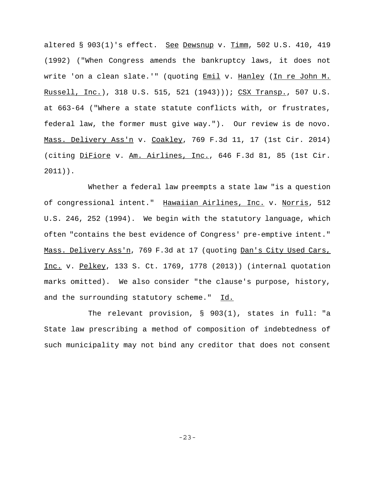altered § 903(1)'s effect. See Dewsnup v. Timm, 502 U.S. 410, 419 (1992) ("When Congress amends the bankruptcy laws, it does not write 'on a clean slate.'" (quoting Emil v. Hanley (In re John M. Russell, Inc.), 318 U.S. 515, 521 (1943))); CSX Transp., 507 U.S. at 663-64 ("Where a state statute conflicts with, or frustrates, federal law, the former must give way."). Our review is de novo. Mass. Delivery Ass'n v. Coakley, 769 F.3d 11, 17 (1st Cir. 2014) (citing DiFiore v. Am. Airlines, Inc., 646 F.3d 81, 85 (1st Cir. 2011)).

Whether a federal law preempts a state law "is a question of congressional intent." Hawaiian Airlines, Inc. v. Norris, 512 U.S. 246, 252 (1994). We begin with the statutory language, which often "contains the best evidence of Congress' pre-emptive intent." Mass. Delivery Ass'n, 769 F.3d at 17 (quoting Dan's City Used Cars, Inc. v. Pelkey, 133 S. Ct. 1769, 1778 (2013)) (internal quotation marks omitted). We also consider "the clause's purpose, history, and the surrounding statutory scheme." Id.

 The relevant provision, § 903(1), states in full: "a State law prescribing a method of composition of indebtedness of such municipality may not bind any creditor that does not consent

-23-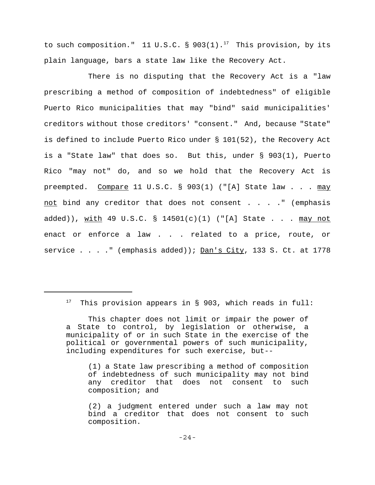to such composition." 11 U.S.C. § 903(1).<sup>17</sup> This provision, by its plain language, bars a state law like the Recovery Act.

There is no disputing that the Recovery Act is a "law prescribing a method of composition of indebtedness" of eligible Puerto Rico municipalities that may "bind" said municipalities' creditors without those creditors' "consent." And, because "State" is defined to include Puerto Rico under § 101(52), the Recovery Act is a "State law" that does so. But this, under § 903(1), Puerto Rico "may not" do, and so we hold that the Recovery Act is preempted. Compare 11 U.S.C. § 903(1) ("[A] State law . . . may not bind any creditor that does not consent . . . ." (emphasis added)), with 49 U.S.C. § 14501(c)(1) ("[A] State . . . may not enact or enforce a law . . . related to a price, route, or service . . . . " (emphasis added));  $Dan \, 's$  City, 133 S. Ct. at 1778

<sup>17</sup>This provision appears in § 903, which reads in full:

This chapter does not limit or impair the power of a State to control, by legislation or otherwise, a municipality of or in such State in the exercise of the political or governmental powers of such municipality, including expenditures for such exercise, but--

<sup>(1)</sup> a State law prescribing a method of composition of indebtedness of such municipality may not bind any creditor that does not consent to such composition; and

<sup>(2)</sup> a judgment entered under such a law may not bind a creditor that does not consent to such composition.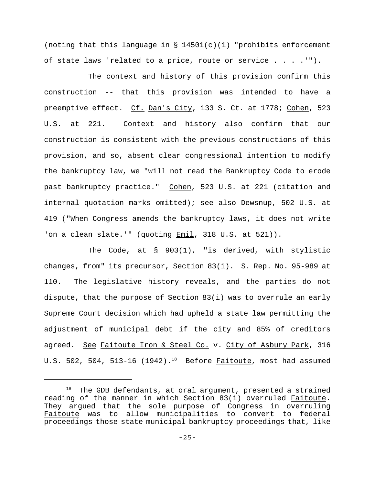(noting that this language in  $\S$  14501(c)(1) "prohibits enforcement of state laws 'related to a price, route or service . . . .'").

The context and history of this provision confirm this construction -- that this provision was intended to have a preemptive effect. Cf. Dan's City, 133 S. Ct. at 1778; Cohen, 523 U.S. at 221. Context and history also confirm that our construction is consistent with the previous constructions of this provision, and so, absent clear congressional intention to modify the bankruptcy law, we "will not read the Bankruptcy Code to erode past bankruptcy practice." Cohen, 523 U.S. at 221 (citation and internal quotation marks omitted); see also Dewsnup, 502 U.S. at 419 ("When Congress amends the bankruptcy laws, it does not write 'on a clean slate.'" (quoting <u>Emil</u>, 318 U.S. at 521)).

The Code, at § 903(1), "is derived, with stylistic changes, from" its precursor, Section 83(i). S. Rep. No. 95-989 at 110. The legislative history reveals, and the parties do not dispute, that the purpose of Section 83(i) was to overrule an early Supreme Court decision which had upheld a state law permitting the adjustment of municipal debt if the city and 85% of creditors agreed. See Faitoute Iron & Steel Co. v. City of Asbury Park, 316 U.S. 502, 504, 513-16 (1942).<sup>18</sup> Before **Faitoute**, most had assumed

 $18$  The GDB defendants, at oral argument, presented a strained reading of the manner in which Section 83(i) overruled Faitoute. They argued that the sole purpose of Congress in overruling Faitoute was to allow municipalities to convert to federal proceedings those state municipal bankruptcy proceedings that, like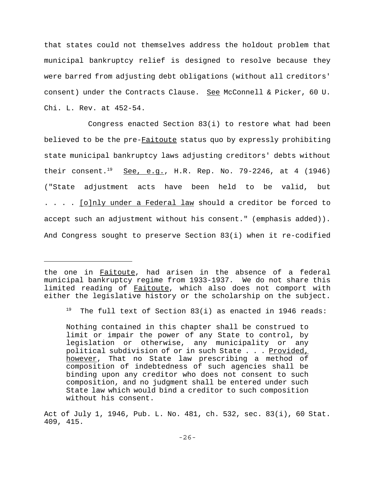that states could not themselves address the holdout problem that municipal bankruptcy relief is designed to resolve because they were barred from adjusting debt obligations (without all creditors' consent) under the Contracts Clause. See McConnell & Picker, 60 U. Chi. L. Rev. at 452-54.

Congress enacted Section 83(i) to restore what had been believed to be the pre-Faitoute status quo by expressly prohibiting state municipal bankruptcy laws adjusting creditors' debts without their consent.<sup>19</sup> See, e.g., H.R. Rep. No. 79-2246, at 4 (1946) ("State adjustment acts have been held to be valid, but . . . . [o]nly under a Federal law should a creditor be forced to accept such an adjustment without his consent." (emphasis added)). And Congress sought to preserve Section 83(i) when it re-codified

the one in Faitoute, had arisen in the absence of a federal municipal bankruptcy regime from 1933-1937. We do not share this limited reading of Faitoute, which also does not comport with either the legislative history or the scholarship on the subject.

<sup>&</sup>lt;sup>19</sup> The full text of Section 83(i) as enacted in 1946 reads:

Nothing contained in this chapter shall be construed to limit or impair the power of any State to control, by legislation or otherwise, any municipality or any political subdivision of or in such State . . . Provided, however, That no State law prescribing a method of composition of indebtedness of such agencies shall be binding upon any creditor who does not consent to such composition, and no judgment shall be entered under such State law which would bind a creditor to such composition without his consent.

Act of July 1, 1946, Pub. L. No. 481, ch. 532, sec. 83(i), 60 Stat. 409, 415.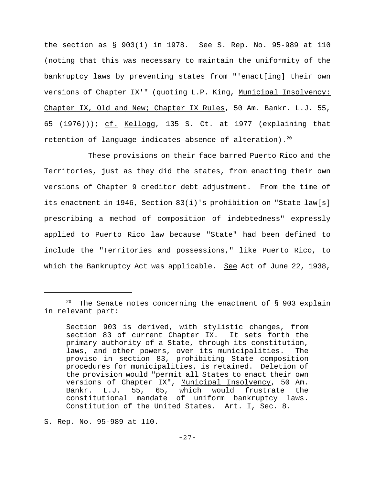the section as  $\S$  903(1) in 1978. See S. Rep. No. 95-989 at 110 (noting that this was necessary to maintain the uniformity of the bankruptcy laws by preventing states from "'enact[ing] their own versions of Chapter IX'" (quoting L.P. King, Municipal Insolvency: Chapter IX, Old and New; Chapter IX Rules, 50 Am. Bankr. L.J. 55, 65  $(1976))$ ; cf. Kellogg, 135 S. Ct. at 1977 (explaining that retention of language indicates absence of alteration).<sup>20</sup>

These provisions on their face barred Puerto Rico and the Territories, just as they did the states, from enacting their own versions of Chapter 9 creditor debt adjustment. From the time of its enactment in 1946, Section 83(i)'s prohibition on "State law[s] prescribing a method of composition of indebtedness" expressly applied to Puerto Rico law because "State" had been defined to include the "Territories and possessions," like Puerto Rico, to which the Bankruptcy Act was applicable. See Act of June 22, 1938,

S. Rep. No. 95-989 at 110.

The Senate notes concerning the enactment of  $\S$  903 explain in relevant part:

Section 903 is derived, with stylistic changes, from section 83 of current Chapter IX. It sets forth the primary authority of a State, through its constitution, laws, and other powers, over its municipalities. The proviso in section 83, prohibiting State composition procedures for municipalities, is retained. Deletion of the provision would "permit all States to enact their own versions of Chapter IX", Municipal Insolvency, 50 Am. Bankr. L.J. 55, 65, which would frustrate the constitutional mandate of uniform bankruptcy laws. Constitution of the United States. Art. I, Sec. 8.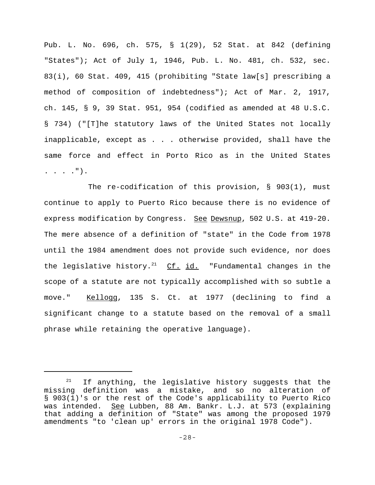Pub. L. No. 696, ch. 575, § 1(29), 52 Stat. at 842 (defining "States"); Act of July 1, 1946, Pub. L. No. 481, ch. 532, sec. 83(i), 60 Stat. 409, 415 (prohibiting "State law[s] prescribing a method of composition of indebtedness"); Act of Mar. 2, 1917, ch. 145, § 9, 39 Stat. 951, 954 (codified as amended at 48 U.S.C. § 734) ("[T]he statutory laws of the United States not locally inapplicable, except as . . . otherwise provided, shall have the same force and effect in Porto Rico as in the United States . . . .").

The re-codification of this provision, § 903(1), must continue to apply to Puerto Rico because there is no evidence of express modification by Congress. See Dewsnup, 502 U.S. at 419-20. The mere absence of a definition of "state" in the Code from 1978 until the 1984 amendment does not provide such evidence, nor does the legislative history.<sup>21</sup> Cf. id. "Fundamental changes in the scope of a statute are not typically accomplished with so subtle a move." Kellogg, 135 S. Ct. at 1977 (declining to find a significant change to a statute based on the removal of a small phrase while retaining the operative language).

 $21$  If anything, the legislative history suggests that the missing definition was a mistake, and so no alteration of § 903(1)'s or the rest of the Code's applicability to Puerto Rico was intended. See Lubben, 88 Am. Bankr. L.J. at 573 (explaining that adding a definition of "State" was among the proposed 1979 amendments "to 'clean up' errors in the original 1978 Code").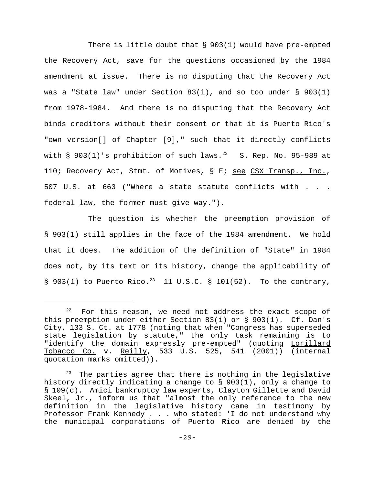There is little doubt that  $\S$  903(1) would have pre-empted the Recovery Act, save for the questions occasioned by the 1984 amendment at issue. There is no disputing that the Recovery Act was a "State law" under Section  $83(i)$ , and so too under § 903(1) from 1978-1984. And there is no disputing that the Recovery Act binds creditors without their consent or that it is Puerto Rico's "own version[] of Chapter [9]," such that it directly conflicts with  $\S$  903(1)'s prohibition of such laws.<sup>22</sup> S. Rep. No. 95-989 at 110; Recovery Act, Stmt. of Motives, § E; see CSX Transp., Inc., 507 U.S. at 663 ("Where a state statute conflicts with . . . federal law, the former must give way.").

The question is whether the preemption provision of § 903(1) still applies in the face of the 1984 amendment. We hold that it does. The addition of the definition of "State" in 1984 does not, by its text or its history, change the applicability of § 903(1) to Puerto Rico.<sup>23</sup> 11 U.S.C. § 101(52). To the contrary,

For this reason, we need not address the exact scope of this preemption under either Section 83(i) or  $\S$  903(1). Cf. Dan's City, 133 S. Ct. at 1778 (noting that when "Congress has superseded state legislation by statute," the only task remaining is to "identify the domain expressly pre-empted" (quoting Lorillard Tobacco Co. v. Reilly, 533 U.S. 525, 541 (2001)) (internal quotation marks omitted)).

 $23$  The parties agree that there is nothing in the legislative history directly indicating a change to § 903(1), only a change to § 109(c). Amici bankruptcy law experts, Clayton Gillette and David Skeel, Jr., inform us that "almost the only reference to the new definition in the legislative history came in testimony by Professor Frank Kennedy . . . who stated: 'I do not understand why the municipal corporations of Puerto Rico are denied by the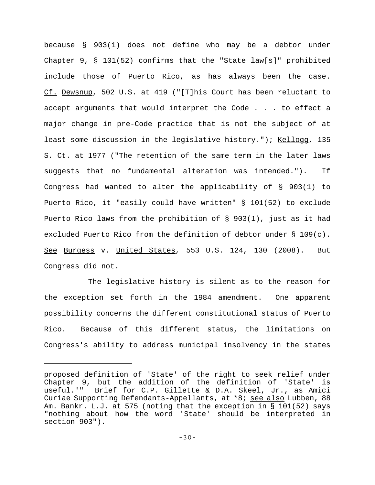because § 903(1) does not define who may be a debtor under Chapter 9, § 101(52) confirms that the "State law[s]" prohibited include those of Puerto Rico, as has always been the case. Cf. Dewsnup, 502 U.S. at 419 ("[T]his Court has been reluctant to accept arguments that would interpret the Code . . . to effect a major change in pre-Code practice that is not the subject of at least some discussion in the legislative history."); Kellogg, 135 S. Ct. at 1977 ("The retention of the same term in the later laws suggests that no fundamental alteration was intended."). If Congress had wanted to alter the applicability of § 903(1) to Puerto Rico, it "easily could have written" § 101(52) to exclude Puerto Rico laws from the prohibition of § 903(1), just as it had excluded Puerto Rico from the definition of debtor under § 109(c). See Burgess v. United States, 553 U.S. 124, 130 (2008). But Congress did not.

The legislative history is silent as to the reason for the exception set forth in the 1984 amendment. One apparent possibility concerns the different constitutional status of Puerto Rico. Because of this different status, the limitations on Congress's ability to address municipal insolvency in the states

proposed definition of 'State' of the right to seek relief under Chapter 9, but the addition of the definition of 'State' is useful.'" Brief for C.P. Gillette & D.A. Skeel, Jr., as Amici Curiae Supporting Defendants-Appellants, at \*8; see also Lubben, 88 Am. Bankr. L.J. at 575 (noting that the exception in § 101(52) says "nothing about how the word 'State' should be interpreted in section 903").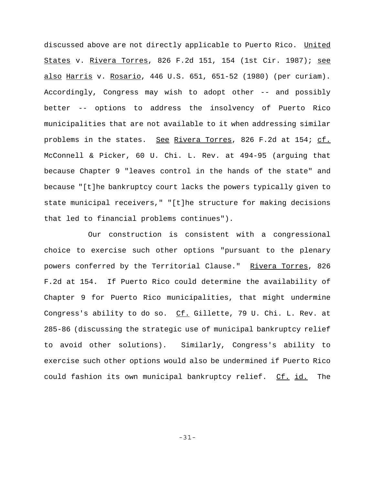discussed above are not directly applicable to Puerto Rico. United States v. Rivera Torres, 826 F.2d 151, 154 (1st Cir. 1987); see also Harris v. Rosario, 446 U.S. 651, 651-52 (1980) (per curiam). Accordingly, Congress may wish to adopt other -- and possibly better -- options to address the insolvency of Puerto Rico municipalities that are not available to it when addressing similar problems in the states. See Rivera Torres, 826 F.2d at 154; cf. McConnell & Picker, 60 U. Chi. L. Rev. at 494-95 (arguing that because Chapter 9 "leaves control in the hands of the state" and because "[t]he bankruptcy court lacks the powers typically given to state municipal receivers," "[t]he structure for making decisions that led to financial problems continues").

Our construction is consistent with a congressional choice to exercise such other options "pursuant to the plenary powers conferred by the Territorial Clause." Rivera Torres, 826 F.2d at 154. If Puerto Rico could determine the availability of Chapter 9 for Puerto Rico municipalities, that might undermine Congress's ability to do so. Cf. Gillette, 79 U. Chi. L. Rev. at 285-86 (discussing the strategic use of municipal bankruptcy relief to avoid other solutions). Similarly, Congress's ability to exercise such other options would also be undermined if Puerto Rico could fashion its own municipal bankruptcy relief. Cf. id. The

-31-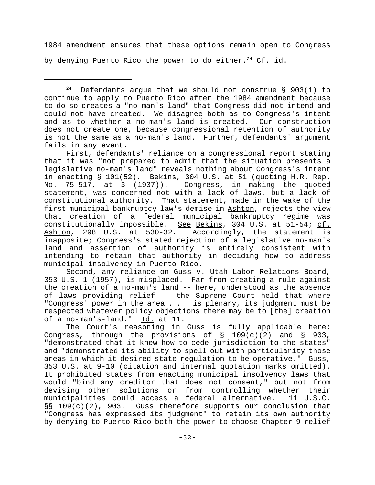1984 amendment ensures that these options remain open to Congress by denying Puerto Rico the power to do either.<sup>24</sup> Cf. id.

First, defendants' reliance on a congressional report stating that it was "not prepared to admit that the situation presents a legislative no-man's land" reveals nothing about Congress's intent in enacting  $\S$  101(52). Bekins, 304 U.S. at 51 (quoting H.R. Rep. No. 75-517, at 3 (1937)). Congress, in making the quoted statement, was concerned not with a lack of laws, but a lack of constitutional authority. That statement, made in the wake of the first municipal bankruptcy law's demise in Ashton, rejects the view that creation of a federal municipal bankruptcy regime was constitutionally impossible. See Bekins, 304 U.S. at 51-54; cf. Ashton, 298 U.S. at 530-32. Accordingly, the statement is inapposite; Congress's stated rejection of a legislative no-man's land and assertion of authority is entirely consistent with intending to retain that authority in deciding how to address municipal insolvency in Puerto Rico.

Second, any reliance on Guss v. Utah Labor Relations Board, 353 U.S. 1 (1957), is misplaced. Far from creating a rule against the creation of a no-man's land -- here, understood as the absence of laws providing relief -- the Supreme Court held that where "Congress' power in the area . . . is plenary, its judgment must be respected whatever policy objections there may be to [the] creation of a no-man's-land." Id. at 11.

The Court's reasoning in Guss is fully applicable here: Congress, through the provisions of  $\S$  109(c)(2) and  $\S$  903, "demonstrated that it knew how to cede jurisdiction to the states" and "demonstrated its ability to spell out with particularity those areas in which it desired state regulation to be operative." Guss, 353 U.S. at 9-10 (citation and internal quotation marks omitted). It prohibited states from enacting municipal insolvency laws that would "bind any creditor that does not consent," but not from devising other solutions or from controlling whether their municipalities could access a federal alternative. 11 U.S.C. §§  $109(c)(2)$ , 903. Guss therefore supports our conclusion that "Congress has expressed its judgment" to retain its own authority by denying to Puerto Rico both the power to choose Chapter 9 relief

<sup>&</sup>lt;sup>24</sup> Defendants arque that we should not construe  $\S$  903(1) to continue to apply to Puerto Rico after the 1984 amendment because to do so creates a "no-man's land" that Congress did not intend and could not have created. We disagree both as to Congress's intent and as to whether a no-man's land is created. Our construction does not create one, because congressional retention of authority is not the same as a no-man's land. Further, defendants' argument fails in any event.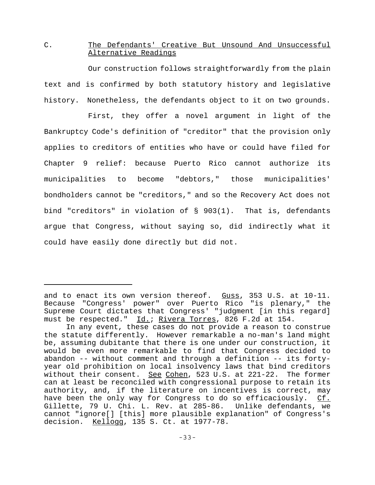# C. The Defendants' Creative But Unsound And Unsuccessful Alternative Readings

Our construction follows straightforwardly from the plain text and is confirmed by both statutory history and legislative history. Nonetheless, the defendants object to it on two grounds.

First, they offer a novel argument in light of the Bankruptcy Code's definition of "creditor" that the provision only applies to creditors of entities who have or could have filed for Chapter 9 relief: because Puerto Rico cannot authorize its municipalities to become "debtors," those municipalities' bondholders cannot be "creditors," and so the Recovery Act does not bind "creditors" in violation of § 903(1). That is, defendants argue that Congress, without saying so, did indirectly what it could have easily done directly but did not.

and to enact its own version thereof. Guss, 353 U.S. at 10-11. Because "Congress' power" over Puerto Rico "is plenary," the Supreme Court dictates that Congress' "judgment [in this regard] must be respected." Id.; Rivera Torres, 826 F.2d at 154.

In any event, these cases do not provide a reason to construe the statute differently. However remarkable a no-man's land might be, assuming dubitante that there is one under our construction, it would be even more remarkable to find that Congress decided to abandon -- without comment and through a definition -- its fortyyear old prohibition on local insolvency laws that bind creditors without their consent. See Cohen, 523 U.S. at 221-22. The former can at least be reconciled with congressional purpose to retain its authority, and, if the literature on incentives is correct, may have been the only way for Congress to do so efficaciously. Cf. Gillette, 79 U. Chi. L. Rev. at 285-86. Unlike defendants, we cannot "ignore[] [this] more plausible explanation" of Congress's decision. Kellogg, 135 S. Ct. at 1977-78.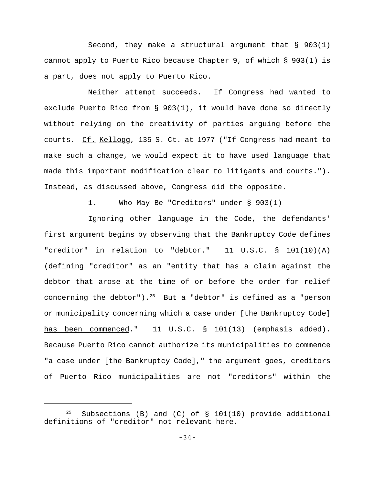Second, they make a structural argument that  $\S$  903(1) cannot apply to Puerto Rico because Chapter 9, of which § 903(1) is a part, does not apply to Puerto Rico.

Neither attempt succeeds. If Congress had wanted to exclude Puerto Rico from § 903(1), it would have done so directly without relying on the creativity of parties arguing before the courts. Cf. Kellogg, 135 S. Ct. at 1977 ("If Congress had meant to make such a change, we would expect it to have used language that made this important modification clear to litigants and courts."). Instead, as discussed above, Congress did the opposite.

## 1. Who May Be "Creditors" under § 903(1)

Ignoring other language in the Code, the defendants' first argument begins by observing that the Bankruptcy Code defines "creditor" in relation to "debtor." 11 U.S.C. § 101(10)(A) (defining "creditor" as an "entity that has a claim against the debtor that arose at the time of or before the order for relief concerning the debtor").<sup>25</sup> But a "debtor" is defined as a "person or municipality concerning which a case under [the Bankruptcy Code] has been commenced." 11 U.S.C. § 101(13) (emphasis added). Because Puerto Rico cannot authorize its municipalities to commence "a case under [the Bankruptcy Code]," the argument goes, creditors of Puerto Rico municipalities are not "creditors" within the

<sup>&</sup>lt;sup>25</sup> Subsections (B) and (C) of  $\S$  101(10) provide additional definitions of "creditor" not relevant here.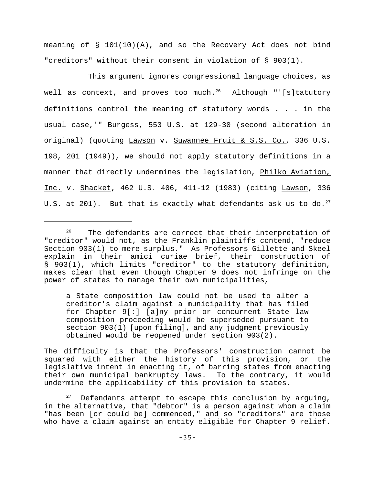meaning of  $\S$  101(10)(A), and so the Recovery Act does not bind "creditors" without their consent in violation of § 903(1).

This argument ignores congressional language choices, as well as context, and proves too much.26Although "'[s]tatutory definitions control the meaning of statutory words . . . in the usual case,'" Burgess, 553 U.S. at 129-30 (second alteration in original) (quoting Lawson v. Suwannee Fruit & S.S. Co., 336 U.S. 198, 201 (1949)), we should not apply statutory definitions in a manner that directly undermines the legislation, Philko Aviation, Inc. v. Shacket, 462 U.S. 406, 411-12 (1983) (citing Lawson, 336 U.S. at 201). But that is exactly what defendants ask us to do.<sup>27</sup>

a State composition law could not be used to alter a creditor's claim against a municipality that has filed for Chapter 9[:] [a]ny prior or concurrent State law composition proceeding would be superseded pursuant to section 903(1) [upon filing], and any judgment previously obtained would be reopened under section 903(2).

The difficulty is that the Professors' construction cannot be squared with either the history of this provision, or the legislative intent in enacting it, of barring states from enacting their own municipal bankruptcy laws. To the contrary, it would undermine the applicability of this provision to states.

 $27$  Defendants attempt to escape this conclusion by arguing, in the alternative, that "debtor" is a person against whom a claim "has been [or could be] commenced," and so "creditors" are those who have a claim against an entity eligible for Chapter 9 relief.

 $26$  The defendants are correct that their interpretation of "creditor" would not, as the Franklin plaintiffs contend, "reduce Section 903(1) to mere surplus." As Professors Gillette and Skeel explain in their amici curiae brief, their construction of § 903(1), which limits "creditor" to the statutory definition, makes clear that even though Chapter 9 does not infringe on the power of states to manage their own municipalities,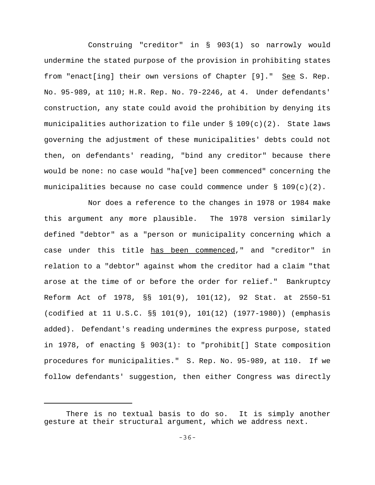Construing "creditor" in § 903(1) so narrowly would undermine the stated purpose of the provision in prohibiting states from "enact[ing] their own versions of Chapter [9]." See S. Rep. No. 95-989, at 110; H.R. Rep. No. 79-2246, at 4. Under defendants' construction, any state could avoid the prohibition by denying its municipalities authorization to file under  $\S 109(c)(2)$ . State laws governing the adjustment of these municipalities' debts could not then, on defendants' reading, "bind any creditor" because there would be none: no case would "ha[ve] been commenced" concerning the municipalities because no case could commence under  $\S 109(c)(2)$ .

Nor does a reference to the changes in 1978 or 1984 make this argument any more plausible. The 1978 version similarly defined "debtor" as a "person or municipality concerning which a case under this title has been commenced," and "creditor" in relation to a "debtor" against whom the creditor had a claim "that arose at the time of or before the order for relief." Bankruptcy Reform Act of 1978, §§ 101(9), 101(12), 92 Stat. at 2550-51 (codified at 11 U.S.C. §§ 101(9), 101(12) (1977-1980)) (emphasis added). Defendant's reading undermines the express purpose, stated in 1978, of enacting § 903(1): to "prohibit[] State composition procedures for municipalities." S. Rep. No. 95-989, at 110. If we follow defendants' suggestion, then either Congress was directly

There is no textual basis to do so. It is simply another gesture at their structural argument, which we address next.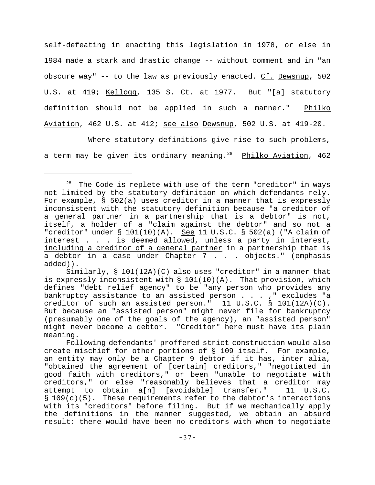self-defeating in enacting this legislation in 1978, or else in 1984 made a stark and drastic change -- without comment and in "an obscure way"  $-$  to the law as previously enacted. Cf. Dewsnup, 502 U.S. at 419; Kellogg, 135 S. Ct. at 1977. But "[a] statutory definition should not be applied in such a manner." Philko Aviation, 462 U.S. at 412; see also Dewsnup, 502 U.S. at 419-20.

Where statutory definitions give rise to such problems, a term may be given its ordinary meaning.<sup>28</sup> Philko Aviation, 462

<sup>&</sup>lt;sup>28</sup> The Code is replete with use of the term "creditor" in ways not limited by the statutory definition on which defendants rely. For example, § 502(a) uses creditor in a manner that is expressly inconsistent with the statutory definition because "a creditor of a general partner in a partnership that is a debtor" is not, itself, a holder of a "claim against the debtor" and so not a "creditor" under § 101(10)(A). See 11 U.S.C. § 502(a) ("A claim of interest . . . is deemed allowed, unless a party in interest, including a creditor of a general partner in a partnership that is a debtor in a case under Chapter 7 . . . objects." (emphasis added)).

Similarly, § 101(12A)(C) also uses "creditor" in a manner that is expressly inconsistent with  $\S$  101(10)(A). That provision, which defines "debt relief agency" to be "any person who provides any bankruptcy assistance to an assisted person  $\ldots$ , "excludes "a creditor of such an assisted person." 11 U.S.C. § 101(12A)(C). But because an "assisted person" might never file for bankruptcy (presumably one of the goals of the agency), an "assisted person" might never become a debtor. "Creditor" here must have its plain meaning.

Following defendants' proffered strict construction would also create mischief for other portions of § 109 itself. For example, an entity may only be a Chapter 9 debtor if it has, inter alia, "obtained the agreement of [certain] creditors," "negotiated in good faith with creditors," or been "unable to negotiate with creditors," or else "reasonably believes that a creditor may attempt to obtain a[n] [avoidable] transfer." 11 U.S.C. § 109(c)(5). These requirements refer to the debtor's interactions with its "creditors" before filing. But if we mechanically apply the definitions in the manner suggested, we obtain an absurd result: there would have been no creditors with whom to negotiate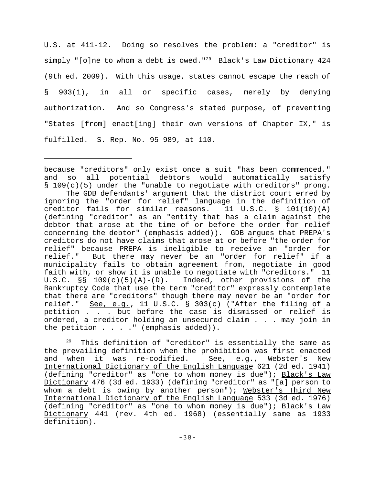U.S. at 411-12. Doing so resolves the problem: a "creditor" is simply "[o]ne to whom a debt is owed."<sup>29</sup> Black's Law Dictionary 424 (9th ed. 2009). With this usage, states cannot escape the reach of § 903(1), in all or specific cases, merely by denying authorization. And so Congress's stated purpose, of preventing "States [from] enact[ing] their own versions of Chapter IX," is fulfilled. S. Rep. No. 95-989, at 110.

because "creditors" only exist once a suit "has been commenced," and so all potential debtors would automatically satisfy  $\S$  109(c)(5) under the "unable to negotiate with creditors" prong.

The GDB defendants' argument that the district court erred by ignoring the "order for relief" language in the definition of creditor fails for similar reasons. 11 U.S.C. § 101(10)(A) (defining "creditor" as an "entity that has a claim against the debtor that arose at the time of or before the order for relief concerning the debtor" (emphasis added)). GDB argues that PREPA's creditors do not have claims that arose at or before "the order for relief" because PREPA is ineligible to receive an "order for relief." But there may never be an "order for relief" if a municipality fails to obtain agreement from, negotiate in good faith with, or show it is unable to negotiate with "creditors." 11 U.S.C.  $\S$  109(c)(5)(A)-(D). Indeed, other provisions of the Bankruptcy Code that use the term "creditor" expressly contemplate that there are "creditors" though there may never be an "order for relief." See, e.g., 11 U.S.C. § 303(c) ("After the filing of a petition . . . but before the case is dismissed or relief is ordered, a creditor holding an unsecured claim . . . may join in the petition  $\ldots$  . . " (emphasis added)).

 $29$  This definition of "creditor" is essentially the same as the prevailing definition when the prohibition was first enacted and when it was re-codified. See, e.g., Webster's New International Dictionary of the English Language 621 (2d ed. 1941) (defining "creditor" as "one to whom money is due"); Black's Law Dictionary 476 (3d ed. 1933) (defining "creditor" as "[a] person to whom a debt is owing by another person"); Webster's Third New International Dictionary of the English Language 533 (3d ed. 1976) (defining "creditor" as "one to whom money is due"); Black's Law Dictionary 441 (rev. 4th ed. 1968) (essentially same as 1933 definition).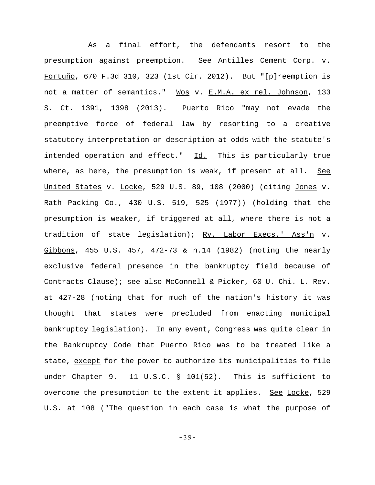As a final effort, the defendants resort to the presumption against preemption. See Antilles Cement Corp. v. Fortuño, 670 F.3d 310, 323 (1st Cir. 2012). But "[p]reemption is not a matter of semantics." Wos v. E.M.A. ex rel. Johnson, 133 S. Ct. 1391, 1398 (2013). Puerto Rico "may not evade the preemptive force of federal law by resorting to a creative statutory interpretation or description at odds with the statute's intended operation and effect." Id. This is particularly true where, as here, the presumption is weak, if present at all. See United States v. Locke, 529 U.S. 89, 108 (2000) (citing Jones v. Rath Packing Co., 430 U.S. 519, 525 (1977)) (holding that the presumption is weaker, if triggered at all, where there is not a tradition of state legislation); Ry. Labor Execs.' Ass'n v. Gibbons, 455 U.S. 457, 472-73 & n.14 (1982) (noting the nearly exclusive federal presence in the bankruptcy field because of Contracts Clause); see also McConnell & Picker, 60 U. Chi. L. Rev. at 427-28 (noting that for much of the nation's history it was thought that states were precluded from enacting municipal bankruptcy legislation). In any event, Congress was quite clear in the Bankruptcy Code that Puerto Rico was to be treated like a state, except for the power to authorize its municipalities to file under Chapter 9. 11 U.S.C. § 101(52). This is sufficient to overcome the presumption to the extent it applies. See Locke, 529 U.S. at 108 ("The question in each case is what the purpose of

-39-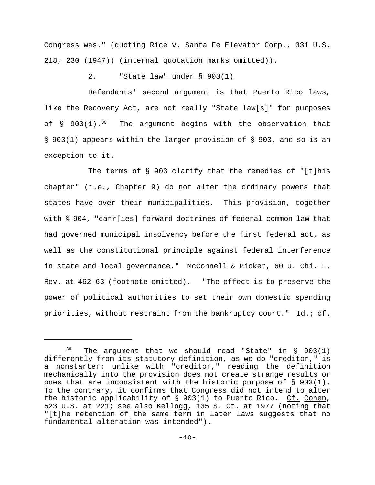Congress was." (quoting Rice v. Santa Fe Elevator Corp., 331 U.S. 218, 230 (1947)) (internal quotation marks omitted)).

# 2. "State law" under § 903(1)

Defendants' second argument is that Puerto Rico laws, like the Recovery Act, are not really "State law[s]" for purposes of  $\S$  903(1).<sup>30</sup> The argument begins with the observation that § 903(1) appears within the larger provision of § 903, and so is an exception to it.

The terms of § 903 clarify that the remedies of "[t]his chapter"  $(i.e.,$  Chapter 9) do not alter the ordinary powers that states have over their municipalities. This provision, together with § 904, "carr[ies] forward doctrines of federal common law that had governed municipal insolvency before the first federal act, as well as the constitutional principle against federal interference in state and local governance." McConnell & Picker, 60 U. Chi. L. Rev. at 462-63 (footnote omitted). "The effect is to preserve the power of political authorities to set their own domestic spending priorities, without restraint from the bankruptcy court." Id.; cf.

The argument that we should read "State" in  $\S$  903(1) differently from its statutory definition, as we do "creditor," is a nonstarter: unlike with "creditor," reading the definition mechanically into the provision does not create strange results or ones that are inconsistent with the historic purpose of  $\S$  903(1). To the contrary, it confirms that Congress did not intend to alter the historic applicability of § 903(1) to Puerto Rico. Cf. Cohen, 523 U.S. at 221; see also Kellogg, 135 S. Ct. at 1977 (noting that "[t]he retention of the same term in later laws suggests that no fundamental alteration was intended").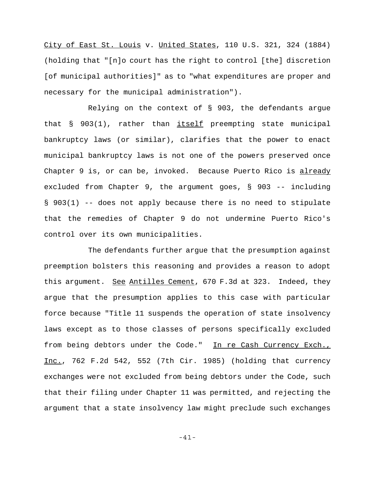City of East St. Louis v. United States, 110 U.S. 321, 324 (1884) (holding that "[n]o court has the right to control [the] discretion [of municipal authorities]" as to "what expenditures are proper and necessary for the municipal administration").

Relying on the context of § 903, the defendants argue that  $\S$  903(1), rather than  ${\text{itself}}$  preempting state municipal bankruptcy laws (or similar), clarifies that the power to enact municipal bankruptcy laws is not one of the powers preserved once Chapter 9 is, or can be, invoked. Because Puerto Rico is already excluded from Chapter 9, the argument goes, § 903 -- including § 903(1) -- does not apply because there is no need to stipulate that the remedies of Chapter 9 do not undermine Puerto Rico's control over its own municipalities.

The defendants further argue that the presumption against preemption bolsters this reasoning and provides a reason to adopt this argument. See Antilles Cement, 670 F.3d at 323. Indeed, they argue that the presumption applies to this case with particular force because "Title 11 suspends the operation of state insolvency laws except as to those classes of persons specifically excluded from being debtors under the Code." In re Cash Currency Exch., Inc., 762 F.2d 542, 552 (7th Cir. 1985) (holding that currency exchanges were not excluded from being debtors under the Code, such that their filing under Chapter 11 was permitted, and rejecting the argument that a state insolvency law might preclude such exchanges

-41-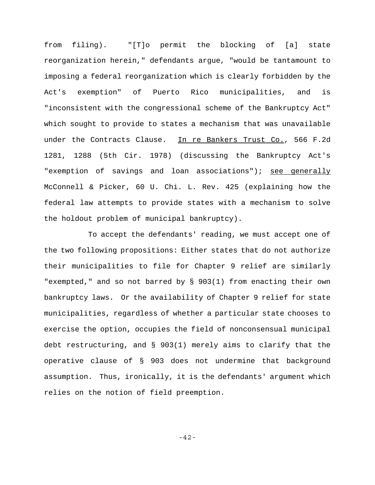from filing). "[T]o permit the blocking of [a] state reorganization herein," defendants argue, "would be tantamount to imposing a federal reorganization which is clearly forbidden by the Act's exemption" of Puerto Rico municipalities, and is "inconsistent with the congressional scheme of the Bankruptcy Act" which sought to provide to states a mechanism that was unavailable under the Contracts Clause. In re Bankers Trust Co., 566 F.2d 1281, 1288 (5th Cir. 1978) (discussing the Bankruptcy Act's "exemption of savings and loan associations"); see generally McConnell & Picker, 60 U. Chi. L. Rev. 425 (explaining how the federal law attempts to provide states with a mechanism to solve the holdout problem of municipal bankruptcy).

To accept the defendants' reading, we must accept one of the two following propositions: Either states that do not authorize their municipalities to file for Chapter 9 relief are similarly "exempted," and so not barred by § 903(1) from enacting their own bankruptcy laws. Or the availability of Chapter 9 relief for state municipalities, regardless of whether a particular state chooses to exercise the option, occupies the field of nonconsensual municipal debt restructuring, and § 903(1) merely aims to clarify that the operative clause of § 903 does not undermine that background assumption. Thus, ironically, it is the defendants' argument which relies on the notion of field preemption.

-42-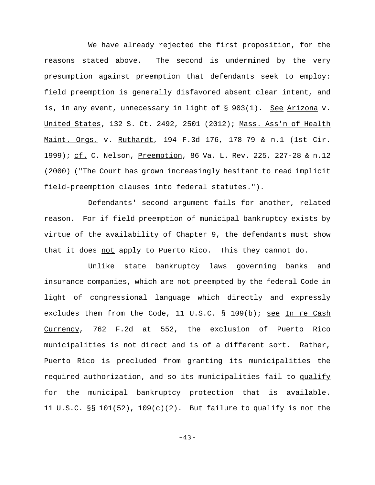We have already rejected the first proposition, for the reasons stated above. The second is undermined by the very presumption against preemption that defendants seek to employ: field preemption is generally disfavored absent clear intent, and is, in any event, unnecessary in light of § 903(1). See Arizona v. United States, 132 S. Ct. 2492, 2501 (2012); Mass. Ass'n of Health Maint. Orgs. v. Ruthardt, 194 F.3d 176, 178-79 & n.1 (1st Cir. 1999); cf. C. Nelson, Preemption, 86 Va. L. Rev. 225, 227-28 & n.12 (2000) ("The Court has grown increasingly hesitant to read implicit field-preemption clauses into federal statutes.").

Defendants' second argument fails for another, related reason. For if field preemption of municipal bankruptcy exists by virtue of the availability of Chapter 9, the defendants must show that it does not apply to Puerto Rico. This they cannot do.

Unlike state bankruptcy laws governing banks and insurance companies, which are not preempted by the federal Code in light of congressional language which directly and expressly excludes them from the Code, 11 U.S.C. § 109(b); see In re Cash Currency, 762 F.2d at 552, the exclusion of Puerto Rico municipalities is not direct and is of a different sort. Rather, Puerto Rico is precluded from granting its municipalities the required authorization, and so its municipalities fail to qualify for the municipal bankruptcy protection that is available. 11 U.S.C. §§ 101(52), 109(c)(2). But failure to qualify is not the

-43-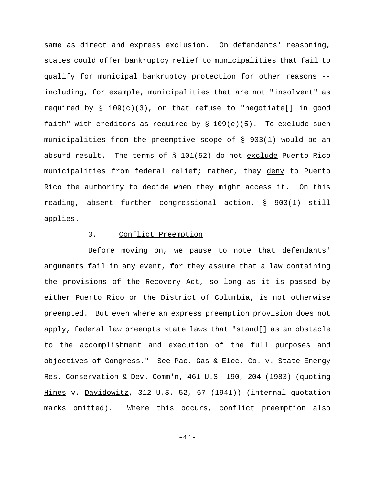same as direct and express exclusion. On defendants' reasoning, states could offer bankruptcy relief to municipalities that fail to qualify for municipal bankruptcy protection for other reasons - including, for example, municipalities that are not "insolvent" as required by  $\S$  109(c)(3), or that refuse to "negotiate[] in good faith" with creditors as required by  $\S$  109(c)(5). To exclude such municipalities from the preemptive scope of § 903(1) would be an absurd result. The terms of § 101(52) do not exclude Puerto Rico municipalities from federal relief; rather, they deny to Puerto Rico the authority to decide when they might access it. On this reading, absent further congressional action, § 903(1) still applies.

#### 3. Conflict Preemption

Before moving on, we pause to note that defendants' arguments fail in any event, for they assume that a law containing the provisions of the Recovery Act, so long as it is passed by either Puerto Rico or the District of Columbia, is not otherwise preempted. But even where an express preemption provision does not apply, federal law preempts state laws that "stand[] as an obstacle to the accomplishment and execution of the full purposes and objectives of Congress." See Pac. Gas & Elec. Co. v. State Energy Res. Conservation & Dev. Comm'n, 461 U.S. 190, 204 (1983) (quoting Hines v. Davidowitz, 312 U.S. 52, 67 (1941)) (internal quotation marks omitted). Where this occurs, conflict preemption also

-44-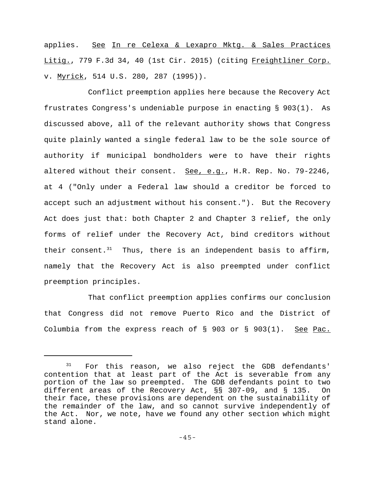applies. See In re Celexa & Lexapro Mktq. & Sales Practices Litig., 779 F.3d 34, 40 (1st Cir. 2015) (citing Freightliner Corp. v. Myrick, 514 U.S. 280, 287 (1995)).

Conflict preemption applies here because the Recovery Act frustrates Congress's undeniable purpose in enacting § 903(1). As discussed above, all of the relevant authority shows that Congress quite plainly wanted a single federal law to be the sole source of authority if municipal bondholders were to have their rights altered without their consent. See, e.g., H.R. Rep. No. 79-2246, at 4 ("Only under a Federal law should a creditor be forced to accept such an adjustment without his consent."). But the Recovery Act does just that: both Chapter 2 and Chapter 3 relief, the only forms of relief under the Recovery Act, bind creditors without their consent. $31$  Thus, there is an independent basis to affirm, namely that the Recovery Act is also preempted under conflict preemption principles.

That conflict preemption applies confirms our conclusion that Congress did not remove Puerto Rico and the District of Columbia from the express reach of  $\S$  903 or  $\S$  903(1). See Pac.

For this reason, we also reject the GDB defendants' contention that at least part of the Act is severable from any portion of the law so preempted. The GDB defendants point to two different areas of the Recovery Act, §§ 307-09, and § 135. On their face, these provisions are dependent on the sustainability of the remainder of the law, and so cannot survive independently of the Act. Nor, we note, have we found any other section which might stand alone.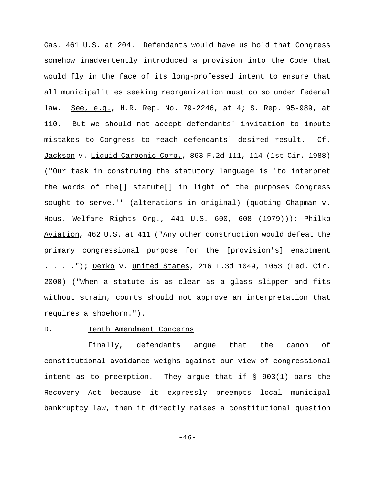Gas, 461 U.S. at 204. Defendants would have us hold that Congress somehow inadvertently introduced a provision into the Code that would fly in the face of its long-professed intent to ensure that all municipalities seeking reorganization must do so under federal law. See, e.g., H.R. Rep. No. 79-2246, at 4; S. Rep. 95-989, at 110. But we should not accept defendants' invitation to impute mistakes to Congress to reach defendants' desired result. Cf. Jackson v. Liquid Carbonic Corp., 863 F.2d 111, 114 (1st Cir. 1988) ("Our task in construing the statutory language is 'to interpret the words of the[] statute[] in light of the purposes Congress sought to serve.'" (alterations in original) (quoting Chapman v. Hous. Welfare Rights Org., 441 U.S. 600, 608 (1979))); Philko Aviation, 462 U.S. at 411 ("Any other construction would defeat the primary congressional purpose for the [provision's] enactment . . . ."); Demko v. United States, 216 F.3d 1049, 1053 (Fed. Cir. 2000) ("When a statute is as clear as a glass slipper and fits without strain, courts should not approve an interpretation that requires a shoehorn.").

### D. Tenth Amendment Concerns

Finally, defendants argue that the canon of constitutional avoidance weighs against our view of congressional intent as to preemption. They argue that if § 903(1) bars the Recovery Act because it expressly preempts local municipal bankruptcy law, then it directly raises a constitutional question

-46-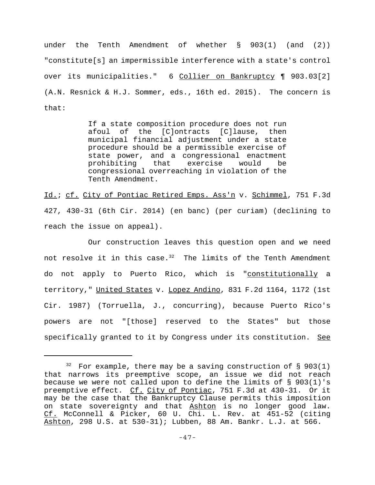under the Tenth Amendment of whether § 903(1) (and (2)) "constitute[s] an impermissible interference with a state's control over its municipalities." 6 Collier on Bankruptcy ¶ 903.03[2] (A.N. Resnick & H.J. Sommer, eds., 16th ed. 2015). The concern is that:

> If a state composition procedure does not run afoul of the [C]ontracts [C]lause, then municipal financial adjustment under a state procedure should be a permissible exercise of state power, and a congressional enactment prohibiting that exercise would be congressional overreaching in violation of the Tenth Amendment.

Id.; cf. City of Pontiac Retired Emps. Ass'n v. Schimmel, 751 F.3d 427, 430-31 (6th Cir. 2014) (en banc) (per curiam) (declining to reach the issue on appeal).

Our construction leaves this question open and we need not resolve it in this case. $32$  The limits of the Tenth Amendment do not apply to Puerto Rico, which is "constitutionally a territory," United States v. Lopez Andino, 831 F.2d 1164, 1172 (1st Cir. 1987) (Torruella, J., concurring), because Puerto Rico's powers are not "[those] reserved to the States" but those specifically granted to it by Congress under its constitution. See

 $32$  For example, there may be a saving construction of § 903(1) that narrows its preemptive scope, an issue we did not reach because we were not called upon to define the limits of § 903(1)'s preemptive effect. Cf. City of Pontiac, 751 F.3d at 430-31. Or it may be the case that the Bankruptcy Clause permits this imposition on state sovereignty and that Ashton is no longer good law. Cf. McConnell & Picker, 60 U. Chi. L. Rev. at 451-52 (citing Ashton, 298 U.S. at 530-31); Lubben, 88 Am. Bankr. L.J. at 566.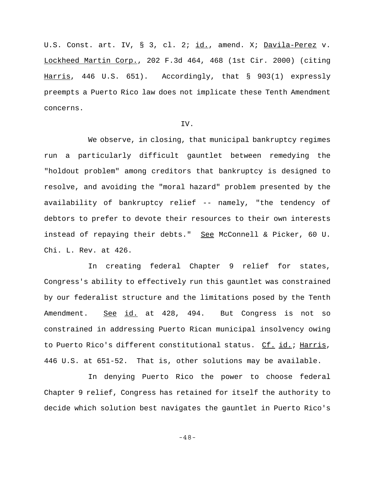U.S. Const. art. IV, § 3, cl. 2; id., amend. X; Davila-Perez v. Lockheed Martin Corp., 202 F.3d 464, 468 (1st Cir. 2000) (citing Harris, 446 U.S. 651). Accordingly, that § 903(1) expressly preempts a Puerto Rico law does not implicate these Tenth Amendment concerns.

#### IV.

We observe, in closing, that municipal bankruptcy regimes run a particularly difficult gauntlet between remedying the "holdout problem" among creditors that bankruptcy is designed to resolve, and avoiding the "moral hazard" problem presented by the availability of bankruptcy relief -- namely, "the tendency of debtors to prefer to devote their resources to their own interests instead of repaying their debts." See McConnell & Picker, 60 U. Chi. L. Rev. at 426.

In creating federal Chapter 9 relief for states, Congress's ability to effectively run this gauntlet was constrained by our federalist structure and the limitations posed by the Tenth Amendment. See id. at 428, 494. But Congress is not so constrained in addressing Puerto Rican municipal insolvency owing to Puerto Rico's different constitutional status. Cf. id.; Harris, 446 U.S. at 651-52. That is, other solutions may be available.

In denying Puerto Rico the power to choose federal Chapter 9 relief, Congress has retained for itself the authority to decide which solution best navigates the gauntlet in Puerto Rico's

-48-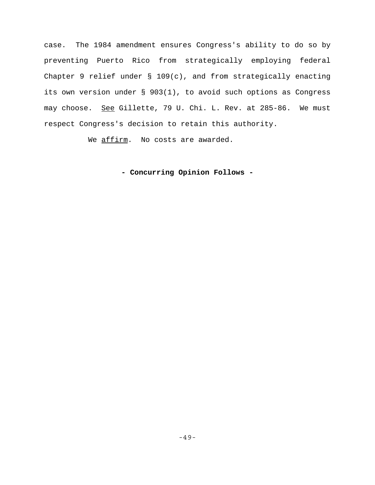case. The 1984 amendment ensures Congress's ability to do so by preventing Puerto Rico from strategically employing federal Chapter 9 relief under § 109(c), and from strategically enacting its own version under § 903(1), to avoid such options as Congress may choose. See Gillette, 79 U. Chi. L. Rev. at 285-86. We must respect Congress's decision to retain this authority.

We affirm. No costs are awarded.

**- Concurring Opinion Follows -**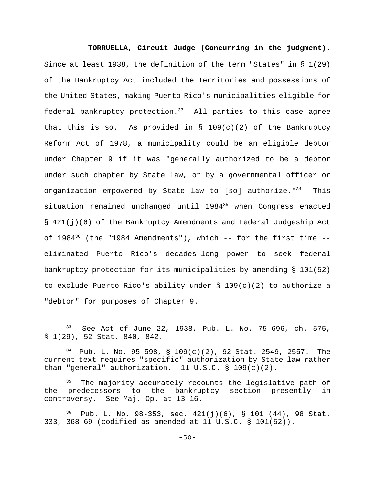**TORRUELLA, Circuit Judge (Concurring in the judgment)**. Since at least 1938, the definition of the term "States" in § 1(29) of the Bankruptcy Act included the Territories and possessions of the United States, making Puerto Rico's municipalities eligible for federal bankruptcy protection.<sup>33</sup> All parties to this case agree that this is so. As provided in  $\S$  109(c)(2) of the Bankruptcy Reform Act of 1978, a municipality could be an eligible debtor under Chapter 9 if it was "generally authorized to be a debtor under such chapter by State law, or by a governmental officer or organization empowered by State law to [so] authorize."<sup>34</sup> This situation remained unchanged until 1984<sup>35</sup> when Congress enacted § 421(j)(6) of the Bankruptcy Amendments and Federal Judgeship Act of  $1984^{36}$  (the "1984 Amendments"), which -- for the first time -eliminated Puerto Rico's decades-long power to seek federal bankruptcy protection for its municipalities by amending § 101(52) to exclude Puerto Rico's ability under § 109(c)(2) to authorize a "debtor" for purposes of Chapter 9.

<sup>33</sup> See Act of June 22, 1938, Pub. L. No. 75-696, ch. 575, § 1(29), 52 Stat. 840, 842.

 $34$  Pub. L. No. 95-598, § 109(c)(2), 92 Stat. 2549, 2557. The current text requires "specific" authorization by State law rather than "general" authorization.  $11 \text{ U.S.C.}$  §  $109(c)(2)$ .

The majority accurately recounts the legislative path of the predecessors to the bankruptcy section presently in controversy. See Maj. Op. at 13-16.

Pub. L. No. 98-353, sec. 421(j)(6), § 101 (44), 98 Stat. 333, 368-69 (codified as amended at 11 U.S.C. § 101(52)).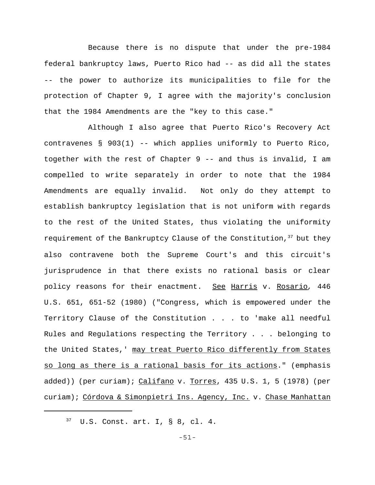Because there is no dispute that under the pre-1984 federal bankruptcy laws, Puerto Rico had -- as did all the states -- the power to authorize its municipalities to file for the protection of Chapter 9, I agree with the majority's conclusion that the 1984 Amendments are the "key to this case."

Although I also agree that Puerto Rico's Recovery Act contravenes § 903(1) -- which applies uniformly to Puerto Rico, together with the rest of Chapter 9 -- and thus is invalid, I am compelled to write separately in order to note that the 1984 Amendments are equally invalid. Not only do they attempt to establish bankruptcy legislation that is not uniform with regards to the rest of the United States, thus violating the uniformity requirement of the Bankruptcy Clause of the Constitution,<sup>37</sup> but they also contravene both the Supreme Court's and this circuit's jurisprudence in that there exists no rational basis or clear policy reasons for their enactment. See Harris v. Rosario*,* 446 U.S. 651, 651-52 (1980) ("Congress, which is empowered under the Territory Clause of the Constitution . . . to 'make all needful Rules and Regulations respecting the Territory . . . belonging to the United States,' may treat Puerto Rico differently from States so long as there is a rational basis for its actions." (emphasis added)) (per curiam); Califano v. Torres, 435 U.S. 1, 5 (1978) (per curiam); Córdova & Simonpietri Ins. Agency, Inc. v. Chase Manhattan

<sup>37</sup> U.S. Const. art. I, § 8, cl. 4.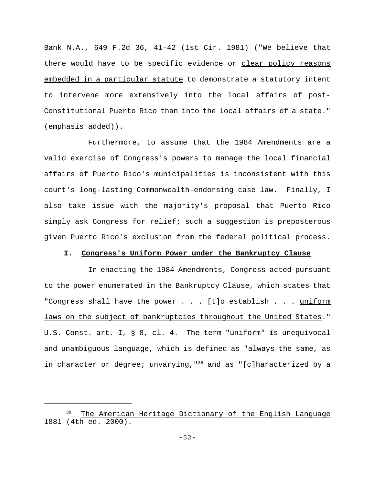Bank N.A., 649 F.2d 36, 41-42 (1st Cir. 1981) ("We believe that there would have to be specific evidence or clear policy reasons embedded in a particular statute to demonstrate a statutory intent to intervene more extensively into the local affairs of post-Constitutional Puerto Rico than into the local affairs of a state." (emphasis added)).

Furthermore, to assume that the 1984 Amendments are a valid exercise of Congress's powers to manage the local financial affairs of Puerto Rico's municipalities is inconsistent with this court's long-lasting Commonwealth-endorsing case law. Finally, I also take issue with the majority's proposal that Puerto Rico simply ask Congress for relief; such a suggestion is preposterous given Puerto Rico's exclusion from the federal political process.

#### **I. Congress's Uniform Power under the Bankruptcy Clause**

In enacting the 1984 Amendments, Congress acted pursuant to the power enumerated in the Bankruptcy Clause, which states that "Congress shall have the power . . . [t]o establish . . . uniform laws on the subject of bankruptcies throughout the United States." U.S. Const. art. I, § 8, cl. 4. The term "uniform" is unequivocal and unambiguous language, which is defined as "always the same, as in character or degree; unvarying,  $138$  and as "[c]haracterized by a

The American Heritage Dictionary of the English Language 1881 (4th ed. 2000).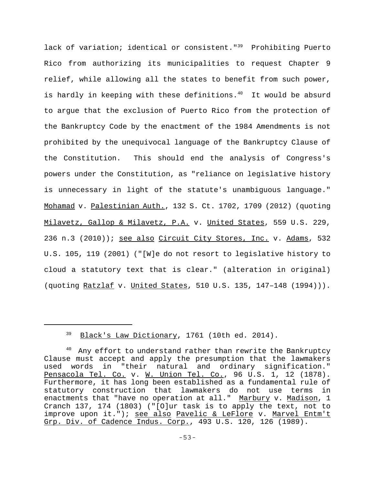lack of variation; identical or consistent."<sup>39</sup> Prohibiting Puerto Rico from authorizing its municipalities to request Chapter 9 relief, while allowing all the states to benefit from such power, is hardly in keeping with these definitions. $40$  It would be absurd to argue that the exclusion of Puerto Rico from the protection of the Bankruptcy Code by the enactment of the 1984 Amendments is not prohibited by the unequivocal language of the Bankruptcy Clause of the Constitution. This should end the analysis of Congress's powers under the Constitution, as "reliance on legislative history is unnecessary in light of the statute's unambiguous language." Mohamad v. Palestinian Auth., 132 S. Ct. 1702, 1709 (2012) (quoting Milavetz, Gallop & Milavetz, P.A. v. United States, 559 U.S. 229, 236 n.3 (2010)); see also Circuit City Stores, Inc. v. Adams, 532 U.S. 105, 119 (2001) ("[W]e do not resort to legislative history to cloud a statutory text that is clear." (alteration in original) (quoting Ratzlaf v. United States, 510 U.S. 135, 147–148 (1994))).

<sup>39</sup> Black's Law Dictionary, 1761 (10th ed. 2014).

<sup>&</sup>lt;sup>40</sup> Any effort to understand rather than rewrite the Bankruptcy Clause must accept and apply the presumption that the lawmakers used words in "their natural and ordinary signification." Pensacola Tel. Co. v. W. Union Tel. Co., 96 U.S. 1, 12 (1878). Furthermore, it has long been established as a fundamental rule of statutory construction that lawmakers do not use terms in enactments that "have no operation at all." Marbury v. Madison, 1 Cranch 137, 174 (1803) ("[O]ur task is to apply the text, not to improve upon it."); see also Pavelic & LeFlore v. Marvel Entm't Grp. Div. of Cadence Indus. Corp., 493 U.S. 120, 126 (1989).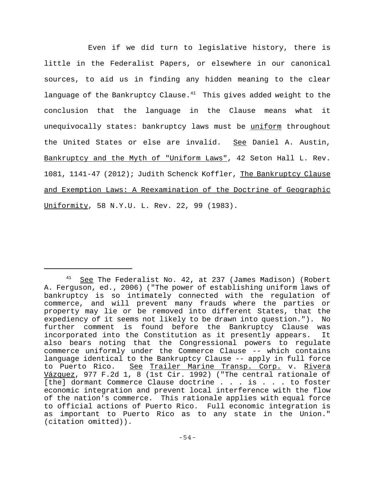Even if we did turn to legislative history, there is little in the Federalist Papers, or elsewhere in our canonical sources, to aid us in finding any hidden meaning to the clear language of the Bankruptcy Clause. $41$  This gives added weight to the conclusion that the language in the Clause means what it unequivocally states: bankruptcy laws must be uniform throughout the United States or else are invalid. See Daniel A. Austin, Bankruptcy and the Myth of "Uniform Laws", 42 Seton Hall L. Rev. 1081, 1141-47 (2012); Judith Schenck Koffler, The Bankruptcy Clause and Exemption Laws: A Reexamination of the Doctrine of Geographic Uniformity, 58 N.Y.U. L. Rev. 22, 99 (1983).

 $41$  See The Federalist No. 42, at 237 (James Madison) (Robert A. Ferguson, ed., 2006) ("The power of establishing uniform laws of bankruptcy is so intimately connected with the regulation of commerce, and will prevent many frauds where the parties or property may lie or be removed into different States, that the expediency of it seems not likely to be drawn into question."). No further comment is found before the Bankruptcy Clause was incorporated into the Constitution as it presently appears. It also bears noting that the Congressional powers to regulate commerce uniformly under the Commerce Clause -- which contains language identical to the Bankruptcy Clause -- apply in full force to Puerto Rico. See Trailer Marine Transp. Corp. v. Rivera Vázquez, 977 F.2d 1, 8 (1st Cir. 1992) ("The central rationale of [the] dormant Commerce Clause doctrine . . . is . . . to foster economic integration and prevent local interference with the flow of the nation's commerce. This rationale applies with equal force to official actions of Puerto Rico. Full economic integration is as important to Puerto Rico as to any state in the Union." (citation omitted)).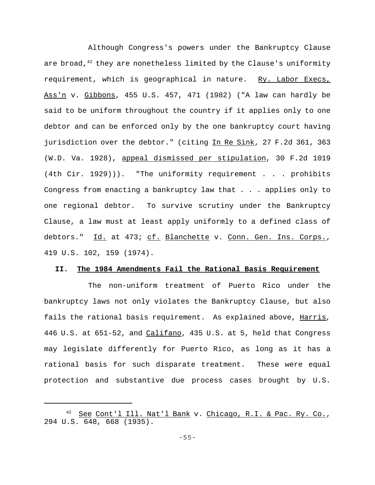Although Congress's powers under the Bankruptcy Clause are broad, $42$  they are nonetheless limited by the Clause's uniformity requirement, which is geographical in nature. Ry. Labor Execs, Ass'n v. Gibbons, 455 U.S. 457, 471 (1982) ("A law can hardly be said to be uniform throughout the country if it applies only to one debtor and can be enforced only by the one bankruptcy court having jurisdiction over the debtor." (citing In Re Sink, 27 F.2d 361, 363 (W.D. Va. 1928), appeal dismissed per stipulation, 30 F.2d 1019 (4th Cir. 1929))). "The uniformity requirement . . . prohibits Congress from enacting a bankruptcy law that . . . applies only to one regional debtor. To survive scrutiny under the Bankruptcy Clause, a law must at least apply uniformly to a defined class of debtors." <u>Id.</u> at 473; <u>cf. Blanchette</u> v. <u>Conn. Gen. Ins. Corps.</u>, 419 U.S. 102, 159 (1974).

# **II. The 1984 Amendments Fail the Rational Basis Requirement**

The non-uniform treatment of Puerto Rico under the bankruptcy laws not only violates the Bankruptcy Clause, but also fails the rational basis requirement. As explained above, Harris*,* 446 U.S. at 651-52, and Califano, 435 U.S. at 5, held that Congress may legislate differently for Puerto Rico, as long as it has a rational basis for such disparate treatment. These were equal protection and substantive due process cases brought by U.S.

<sup>42</sup> See Cont'l Ill. Nat'l Bank v. Chicago, R.I. & Pac. Ry. Co., 294 U.S. 648, 668 (1935).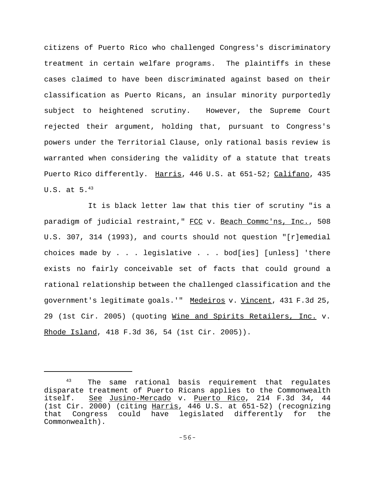citizens of Puerto Rico who challenged Congress's discriminatory treatment in certain welfare programs. The plaintiffs in these cases claimed to have been discriminated against based on their classification as Puerto Ricans, an insular minority purportedly subject to heightened scrutiny. However, the Supreme Court rejected their argument, holding that, pursuant to Congress's powers under the Territorial Clause, only rational basis review is warranted when considering the validity of a statute that treats Puerto Rico differently. Harris, 446 U.S. at 651-52; Califano, 435 U.S. at  $5.^{43}$ 

It is black letter law that this tier of scrutiny "is a paradigm of judicial restraint," FCC v. Beach Commc'ns, Inc., 508 U.S. 307, 314 (1993), and courts should not question "[r]emedial choices made by . . . legislative . . . bod[ies] [unless] 'there exists no fairly conceivable set of facts that could ground a rational relationship between the challenged classification and the government's legitimate goals.'" Medeiros v. Vincent, 431 F.3d 25, 29 (1st Cir. 2005) (quoting Wine and Spirits Retailers, Inc. v. Rhode Island, 418 F.3d 36, 54 (1st Cir. 2005)).

<sup>&</sup>lt;sup>43</sup> The same rational basis requirement that regulates disparate treatment of Puerto Ricans applies to the Commonwealth itself. See Jusino-Mercado v. Puerto Rico, 214 F.3d 34, 44 (1st Cir. 2000) (citing Harris, 446 U.S. at 651-52) (recognizing that Congress could have legislated differently for the Commonwealth).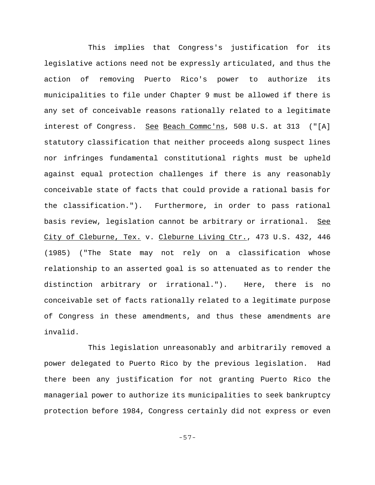This implies that Congress's justification for its legislative actions need not be expressly articulated, and thus the action of removing Puerto Rico's power to authorize its municipalities to file under Chapter 9 must be allowed if there is any set of conceivable reasons rationally related to a legitimate interest of Congress. See Beach Commc'ns, 508 U.S. at 313 ("[A] statutory classification that neither proceeds along suspect lines nor infringes fundamental constitutional rights must be upheld against equal protection challenges if there is any reasonably conceivable state of facts that could provide a rational basis for the classification."). Furthermore, in order to pass rational basis review, legislation cannot be arbitrary or irrational. See City of Cleburne, Tex. v. Cleburne Living Ctr., 473 U.S. 432, 446 (1985) ("The State may not rely on a classification whose relationship to an asserted goal is so attenuated as to render the distinction arbitrary or irrational."). Here, there is no conceivable set of facts rationally related to a legitimate purpose of Congress in these amendments, and thus these amendments are invalid.

This legislation unreasonably and arbitrarily removed a power delegated to Puerto Rico by the previous legislation. Had there been any justification for not granting Puerto Rico the managerial power to authorize its municipalities to seek bankruptcy protection before 1984, Congress certainly did not express or even

-57-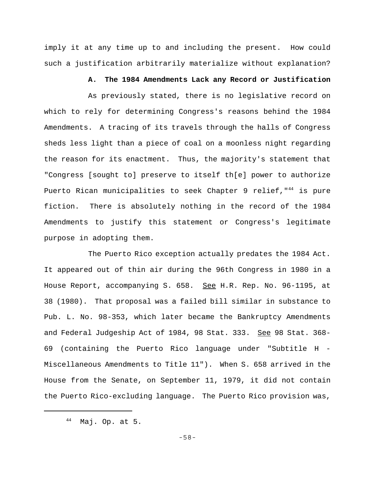imply it at any time up to and including the present. How could such a justification arbitrarily materialize without explanation?

#### **A. The 1984 Amendments Lack any Record or Justification**

As previously stated, there is no legislative record on which to rely for determining Congress's reasons behind the 1984 Amendments. A tracing of its travels through the halls of Congress sheds less light than a piece of coal on a moonless night regarding the reason for its enactment. Thus, the majority's statement that "Congress [sought to] preserve to itself th[e] power to authorize Puerto Rican municipalities to seek Chapter 9 relief, "<sup>44</sup> is pure fiction. There is absolutely nothing in the record of the 1984 Amendments to justify this statement or Congress's legitimate purpose in adopting them.

The Puerto Rico exception actually predates the 1984 Act. It appeared out of thin air during the 96th Congress in 1980 in a House Report, accompanying S. 658. See H.R. Rep. No. 96-1195, at 38 (1980). That proposal was a failed bill similar in substance to Pub. L. No. 98-353, which later became the Bankruptcy Amendments and Federal Judgeship Act of 1984, 98 Stat. 333. See 98 Stat. 368-69 (containing the Puerto Rico language under "Subtitle H - Miscellaneous Amendments to Title 11"). When S. 658 arrived in the House from the Senate, on September 11, 1979, it did not contain the Puerto Rico-excluding language. The Puerto Rico provision was,

<sup>44</sup> Maj. Op. at 5.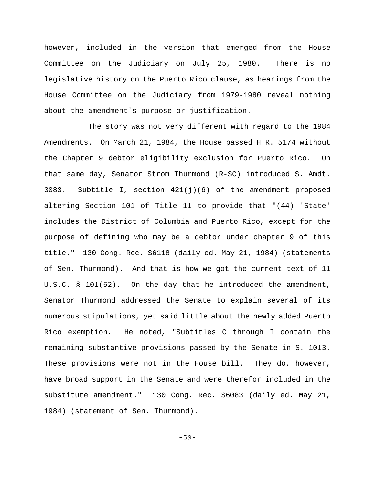however, included in the version that emerged from the House Committee on the Judiciary on July 25, 1980. There is no legislative history on the Puerto Rico clause, as hearings from the House Committee on the Judiciary from 1979-1980 reveal nothing about the amendment's purpose or justification.

The story was not very different with regard to the 1984 Amendments. On March 21, 1984, the House passed H.R. 5174 without the Chapter 9 debtor eligibility exclusion for Puerto Rico. On that same day, Senator Strom Thurmond (R-SC) introduced S. Amdt. 3083. Subtitle I, section  $421(j)(6)$  of the amendment proposed altering Section 101 of Title 11 to provide that "(44) 'State' includes the District of Columbia and Puerto Rico, except for the purpose of defining who may be a debtor under chapter 9 of this title." 130 Cong. Rec. S6118 (daily ed. May 21, 1984) (statements of Sen. Thurmond). And that is how we got the current text of 11 U.S.C. § 101(52). On the day that he introduced the amendment, Senator Thurmond addressed the Senate to explain several of its numerous stipulations, yet said little about the newly added Puerto Rico exemption. He noted, "Subtitles C through I contain the remaining substantive provisions passed by the Senate in S. 1013. These provisions were not in the House bill. They do, however, have broad support in the Senate and were therefor included in the substitute amendment." 130 Cong. Rec. S6083 (daily ed. May 21, 1984) (statement of Sen. Thurmond).

-59-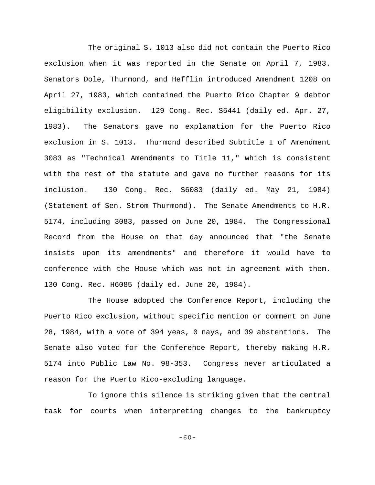The original S. 1013 also did not contain the Puerto Rico exclusion when it was reported in the Senate on April 7, 1983. Senators Dole, Thurmond, and Hefflin introduced Amendment 1208 on April 27, 1983, which contained the Puerto Rico Chapter 9 debtor eligibility exclusion. 129 Cong. Rec. S5441 (daily ed. Apr. 27, 1983). The Senators gave no explanation for the Puerto Rico exclusion in S. 1013. Thurmond described Subtitle I of Amendment 3083 as "Technical Amendments to Title 11," which is consistent with the rest of the statute and gave no further reasons for its inclusion. 130 Cong. Rec. S6083 (daily ed. May 21, 1984) (Statement of Sen. Strom Thurmond). The Senate Amendments to H.R. 5174, including 3083, passed on June 20, 1984. The Congressional Record from the House on that day announced that "the Senate insists upon its amendments" and therefore it would have to conference with the House which was not in agreement with them. 130 Cong. Rec. H6085 (daily ed. June 20, 1984).

The House adopted the Conference Report, including the Puerto Rico exclusion, without specific mention or comment on June 28, 1984, with a vote of 394 yeas, 0 nays, and 39 abstentions. The Senate also voted for the Conference Report, thereby making H.R. 5174 into Public Law No. 98-353. Congress never articulated a reason for the Puerto Rico-excluding language.

To ignore this silence is striking given that the central task for courts when interpreting changes to the bankruptcy

-60-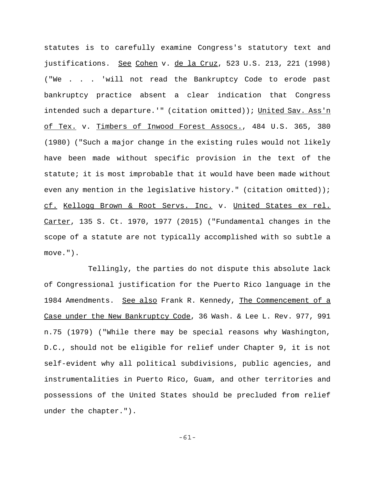statutes is to carefully examine Congress's statutory text and justifications. See Cohen v. de la Cruz, 523 U.S. 213, 221 (1998) ("We . . . 'will not read the Bankruptcy Code to erode past bankruptcy practice absent a clear indication that Congress intended such a departure.'" (citation omitted)); United Sav. Ass'n of Tex. v. Timbers of Inwood Forest Assocs., 484 U.S. 365, 380 (1980) ("Such a major change in the existing rules would not likely have been made without specific provision in the text of the statute; it is most improbable that it would have been made without even any mention in the legislative history." (citation omitted)); cf. Kellogg Brown & Root Servs. Inc. v. United States ex rel. Carter, 135 S. Ct. 1970, 1977 (2015) ("Fundamental changes in the scope of a statute are not typically accomplished with so subtle a move.").

Tellingly, the parties do not dispute this absolute lack of Congressional justification for the Puerto Rico language in the 1984 Amendments. See also Frank R. Kennedy, The Commencement of a Case under the New Bankruptcy Code, 36 Wash. & Lee L. Rev. 977, 991 n.75 (1979) ("While there may be special reasons why Washington, D.C., should not be eligible for relief under Chapter 9, it is not self-evident why all political subdivisions, public agencies, and instrumentalities in Puerto Rico, Guam, and other territories and possessions of the United States should be precluded from relief under the chapter.").

-61-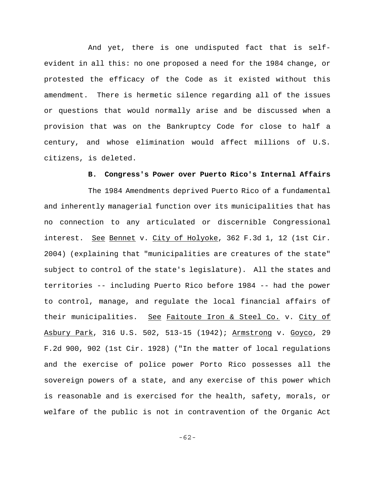And yet, there is one undisputed fact that is selfevident in all this: no one proposed a need for the 1984 change, or protested the efficacy of the Code as it existed without this amendment. There is hermetic silence regarding all of the issues or questions that would normally arise and be discussed when a provision that was on the Bankruptcy Code for close to half a century, and whose elimination would affect millions of U.S. citizens, is deleted.

# **B. Congress's Power over Puerto Rico's Internal Affairs**

The 1984 Amendments deprived Puerto Rico of a fundamental and inherently managerial function over its municipalities that has no connection to any articulated or discernible Congressional interest. See Bennet v. City of Holyoke, 362 F.3d 1, 12 (1st Cir. 2004) (explaining that "municipalities are creatures of the state" subject to control of the state's legislature). All the states and territories -- including Puerto Rico before 1984 -- had the power to control, manage, and regulate the local financial affairs of their municipalities. See Faitoute Iron & Steel Co. v. City of Asbury Park, 316 U.S. 502, 513-15 (1942); Armstrong v. Goyco, 29 F.2d 900, 902 (1st Cir. 1928) ("In the matter of local regulations and the exercise of police power Porto Rico possesses all the sovereign powers of a state, and any exercise of this power which is reasonable and is exercised for the health, safety, morals, or welfare of the public is not in contravention of the Organic Act

-62-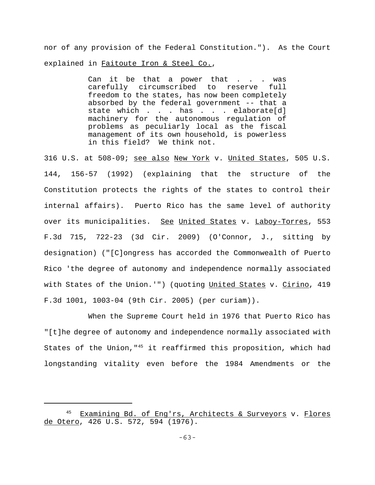nor of any provision of the Federal Constitution."). As the Court explained in Faitoute Iron & Steel Co.,

> Can it be that a power that . . . was carefully circumscribed to reserve full freedom to the states, has now been completely absorbed by the federal government -- that a state which . . . has . . . elaborate[d] machinery for the autonomous regulation of problems as peculiarly local as the fiscal management of its own household, is powerless in this field? We think not.

316 U.S. at 508-09; see also New York v. United States, 505 U.S. 144, 156-57 (1992) (explaining that the structure of the Constitution protects the rights of the states to control their internal affairs). Puerto Rico has the same level of authority over its municipalities. See United States v. Laboy-Torres, 553 F.3d 715, 722-23 (3d Cir. 2009) (O'Connor, J., sitting by designation) ("[C]ongress has accorded the Commonwealth of Puerto Rico 'the degree of autonomy and independence normally associated with States of the Union.'") (quoting United States v. Cirino, 419 F.3d 1001, 1003-04 (9th Cir. 2005) (per curiam)).

When the Supreme Court held in 1976 that Puerto Rico has "[t]he degree of autonomy and independence normally associated with States of the Union,  $145$  it reaffirmed this proposition, which had longstanding vitality even before the 1984 Amendments or the

<sup>45</sup> Examining Bd. of Eng'rs, Architects & Surveyors v. Flores de Otero, 426 U.S. 572, 594 (1976).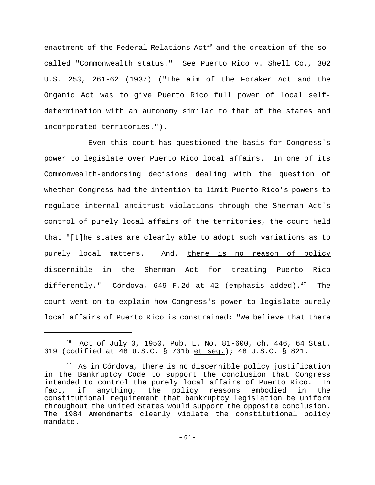enactment of the Federal Relations Act<sup>46</sup> and the creation of the socalled "Commonwealth status." See Puerto Rico v. Shell Co.*,* 302 U.S. 253, 261-62 (1937) ("The aim of the Foraker Act and the Organic Act was to give Puerto Rico full power of local selfdetermination with an autonomy similar to that of the states and incorporated territories.").

Even this court has questioned the basis for Congress's power to legislate over Puerto Rico local affairs. In one of its Commonwealth-endorsing decisions dealing with the question of whether Congress had the intention to limit Puerto Rico's powers to regulate internal antitrust violations through the Sherman Act's control of purely local affairs of the territories, the court held that "[t]he states are clearly able to adopt such variations as to purely local matters. And, there is no reason of policy discernible in the Sherman Act for treating Puerto Rico differently."  $Córdova$ , 649 F.2d at 42 (emphasis added).<sup>47</sup> The court went on to explain how Congress's power to legislate purely local affairs of Puerto Rico is constrained: "We believe that there

<sup>46</sup> Act of July 3, 1950, Pub. L. No. 81-600, ch. 446, 64 Stat. 319 (codified at 48 U.S.C. § 731b et seq.); 48 U.S.C. § 821.

<sup>&</sup>lt;sup>47</sup> As in Córdova, there is no discernible policy justification in the Bankruptcy Code to support the conclusion that Congress intended to control the purely local affairs of Puerto Rico. In fact, if anything, the policy reasons embodied in the constitutional requirement that bankruptcy legislation be uniform throughout the United States would support the opposite conclusion. The 1984 Amendments clearly violate the constitutional policy mandate.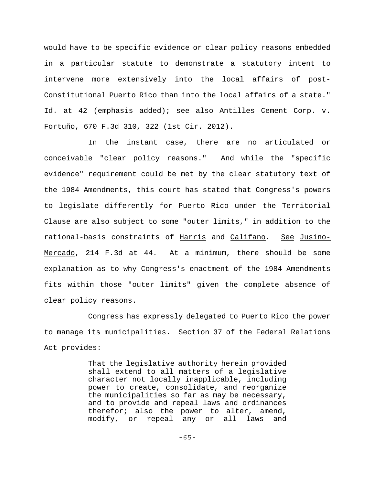would have to be specific evidence or clear policy reasons embedded in a particular statute to demonstrate a statutory intent to intervene more extensively into the local affairs of post-Constitutional Puerto Rico than into the local affairs of a state." Id. at 42 (emphasis added); see also Antilles Cement Corp. v. Fortuño, 670 F.3d 310, 322 (1st Cir. 2012).

In the instant case, there are no articulated or conceivable "clear policy reasons." And while the "specific evidence" requirement could be met by the clear statutory text of the 1984 Amendments, this court has stated that Congress's powers to legislate differently for Puerto Rico under the Territorial Clause are also subject to some "outer limits," in addition to the rational-basis constraints of Harris and Califano. See Jusino-Mercado, 214 F.3d at 44. At a minimum, there should be some explanation as to why Congress's enactment of the 1984 Amendments fits within those "outer limits" given the complete absence of clear policy reasons.

Congress has expressly delegated to Puerto Rico the power to manage its municipalities. Section 37 of the Federal Relations Act provides:

> That the legislative authority herein provided shall extend to all matters of a legislative character not locally inapplicable, including power to create, consolidate, and reorganize the municipalities so far as may be necessary, and to provide and repeal laws and ordinances therefor; also the power to alter, amend, modify, or repeal any or all laws and

> > -65-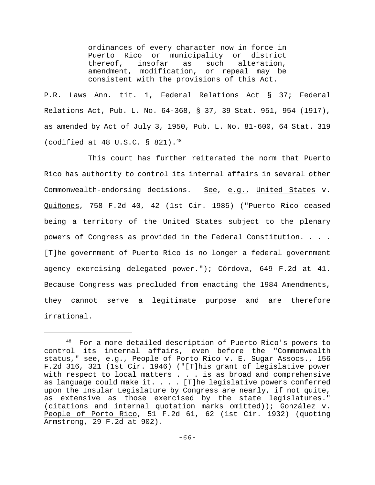ordinances of every character now in force in Puerto Rico or municipality or district thereof, insofar as such alteration, amendment, modification, or repeal may be consistent with the provisions of this Act.

P.R. Laws Ann. tit. 1, Federal Relations Act § 37; Federal Relations Act, Pub. L. No. 64-368, § 37, 39 Stat. 951, 954 (1917), as amended by Act of July 3, 1950, Pub. L. No. 81-600, 64 Stat. 319 (codified at 48 U.S.C. § 821).48

This court has further reiterated the norm that Puerto Rico has authority to control its internal affairs in several other Commonwealth-endorsing decisions. See, e.g., United States v. Quiñones, 758 F.2d 40, 42 (1st Cir. 1985) ("Puerto Rico ceased being a territory of the United States subject to the plenary powers of Congress as provided in the Federal Constitution. . . . [T]he government of Puerto Rico is no longer a federal government agency exercising delegated power."); Córdova, 649 F.2d at 41. Because Congress was precluded from enacting the 1984 Amendments, they cannot serve a legitimate purpose and are therefore irrational.

<sup>48</sup> For a more detailed description of Puerto Rico's powers to control its internal affairs, even before the "Commonwealth status," see, e.g., People of Porto Rico v. E. Sugar Assocs., 156 F.2d 316, 321 (1st Cir. 1946) ("[T]his grant of legislative power with respect to local matters . . . is as broad and comprehensive as language could make it.  $\ldots$ . [T]he legislative powers conferred upon the Insular Legislature by Congress are nearly, if not quite, as extensive as those exercised by the state legislatures." (citations and internal quotation marks omitted)); González v. People of Porto Rico, 51 F.2d 61, 62 (1st Cir. 1932) (quoting Armstrong, 29 F.2d at 902).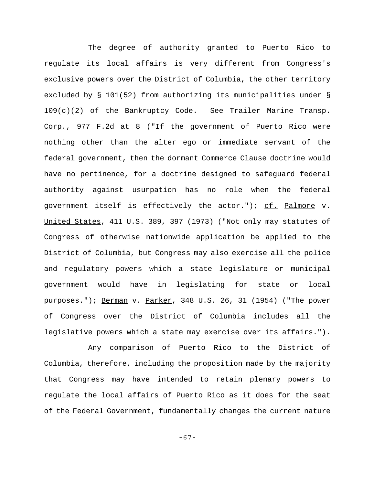The degree of authority granted to Puerto Rico to regulate its local affairs is very different from Congress's exclusive powers over the District of Columbia, the other territory excluded by § 101(52) from authorizing its municipalities under § 109(c)(2) of the Bankruptcy Code. See Trailer Marine Transp. Corp., 977 F.2d at 8 ("If the government of Puerto Rico were nothing other than the alter ego or immediate servant of the federal government, then the dormant Commerce Clause doctrine would have no pertinence, for a doctrine designed to safeguard federal authority against usurpation has no role when the federal government itself is effectively the actor."); cf. Palmore v. United States, 411 U.S. 389, 397 (1973) ("Not only may statutes of Congress of otherwise nationwide application be applied to the District of Columbia, but Congress may also exercise all the police and regulatory powers which a state legislature or municipal government would have in legislating for state or local purposes."); Berman v. Parker, 348 U.S. 26, 31 (1954) ("The power of Congress over the District of Columbia includes all the legislative powers which a state may exercise over its affairs.").

Any comparison of Puerto Rico to the District of Columbia, therefore, including the proposition made by the majority that Congress may have intended to retain plenary powers to regulate the local affairs of Puerto Rico as it does for the seat of the Federal Government, fundamentally changes the current nature

-67-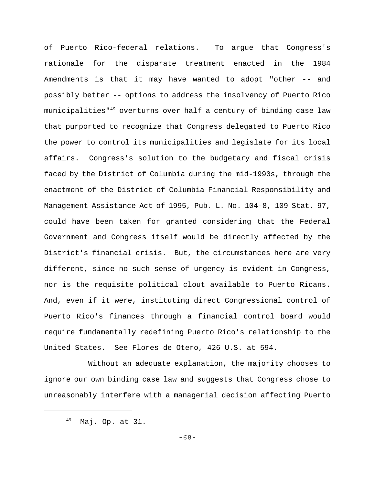of Puerto Rico-federal relations. To argue that Congress's rationale for the disparate treatment enacted in the 1984 Amendments is that it may have wanted to adopt "other -- and possibly better -- options to address the insolvency of Puerto Rico municipalities"<sup>49</sup> overturns over half a century of binding case law that purported to recognize that Congress delegated to Puerto Rico the power to control its municipalities and legislate for its local affairs. Congress's solution to the budgetary and fiscal crisis faced by the District of Columbia during the mid-1990s, through the enactment of the District of Columbia Financial Responsibility and Management Assistance Act of 1995, Pub. L. No. 104-8, 109 Stat. 97, could have been taken for granted considering that the Federal Government and Congress itself would be directly affected by the District's financial crisis. But, the circumstances here are very different, since no such sense of urgency is evident in Congress, nor is the requisite political clout available to Puerto Ricans. And, even if it were, instituting direct Congressional control of Puerto Rico's finances through a financial control board would require fundamentally redefining Puerto Rico's relationship to the United States. See Flores de Otero, 426 U.S. at 594.

Without an adequate explanation, the majority chooses to ignore our own binding case law and suggests that Congress chose to unreasonably interfere with a managerial decision affecting Puerto

<sup>49</sup> Maj. Op. at 31.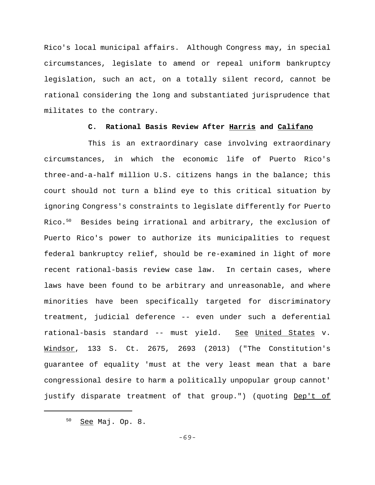Rico's local municipal affairs. Although Congress may, in special circumstances, legislate to amend or repeal uniform bankruptcy legislation, such an act, on a totally silent record, cannot be rational considering the long and substantiated jurisprudence that militates to the contrary.

### **C. Rational Basis Review After Harris and Califano**

This is an extraordinary case involving extraordinary circumstances, in which the economic life of Puerto Rico's three-and-a-half million U.S. citizens hangs in the balance; this court should not turn a blind eye to this critical situation by ignoring Congress's constraints to legislate differently for Puerto Rico.<sup>50</sup> Besides being irrational and arbitrary, the exclusion of Puerto Rico's power to authorize its municipalities to request federal bankruptcy relief, should be re-examined in light of more recent rational-basis review case law. In certain cases, where laws have been found to be arbitrary and unreasonable, and where minorities have been specifically targeted for discriminatory treatment, judicial deference -- even under such a deferential rational-basis standard -- must yield. See United States v. Windsor, 133 S. Ct. 2675, 2693 (2013) ("The Constitution's guarantee of equality 'must at the very least mean that a bare congressional desire to harm a politically unpopular group cannot' justify disparate treatment of that group.") (quoting Dep't of

-69-

<sup>50</sup> See Maj. Op. 8.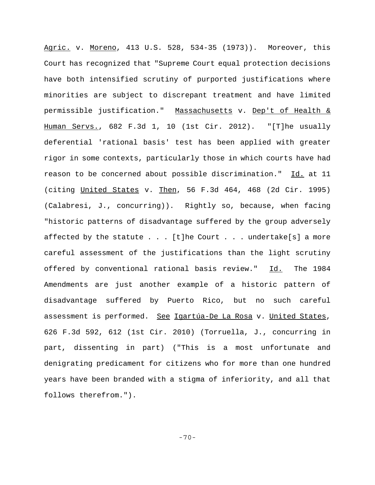Agric. v. Moreno, 413 U.S. 528, 534-35 (1973)). Moreover, this Court has recognized that "Supreme Court equal protection decisions have both intensified scrutiny of purported justifications where minorities are subject to discrepant treatment and have limited permissible justification." Massachusetts v. Dep't of Health & Human Servs., 682 F.3d 1, 10 (1st Cir. 2012). "[T]he usually deferential 'rational basis' test has been applied with greater rigor in some contexts, particularly those in which courts have had reason to be concerned about possible discrimination." Id. at 11 (citing United States v. Then, 56 F.3d 464, 468 (2d Cir. 1995) (Calabresi, J., concurring)). Rightly so, because, when facing "historic patterns of disadvantage suffered by the group adversely affected by the statute  $\ldots$  . [t]he Court  $\ldots$  . undertake[s] a more careful assessment of the justifications than the light scrutiny offered by conventional rational basis review." Id. The 1984 Amendments are just another example of a historic pattern of disadvantage suffered by Puerto Rico, but no such careful assessment is performed. See Igartúa-De La Rosa v. United States, 626 F.3d 592, 612 (1st Cir. 2010) (Torruella, J., concurring in part, dissenting in part) ("This is a most unfortunate and denigrating predicament for citizens who for more than one hundred years have been branded with a stigma of inferiority, and all that follows therefrom.").

-70-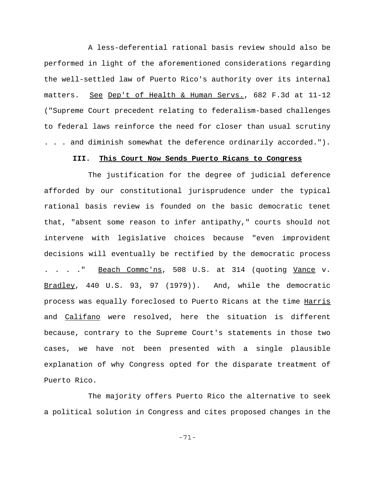A less-deferential rational basis review should also be performed in light of the aforementioned considerations regarding the well-settled law of Puerto Rico's authority over its internal matters. See Dep't of Health & Human Servs., 682 F.3d at 11-12 ("Supreme Court precedent relating to federalism-based challenges to federal laws reinforce the need for closer than usual scrutiny . . . and diminish somewhat the deference ordinarily accorded.").

# **III. This Court Now Sends Puerto Ricans to Congress**

The justification for the degree of judicial deference afforded by our constitutional jurisprudence under the typical rational basis review is founded on the basic democratic tenet that, "absent some reason to infer antipathy," courts should not intervene with legislative choices because "even improvident decisions will eventually be rectified by the democratic process . . . . " Beach Commc'ns, 508 U.S. at 314 (quoting Vance v. Bradley, 440 U.S. 93, 97 (1979)). And, while the democratic process was equally foreclosed to Puerto Ricans at the time Harris and Califano were resolved, here the situation is different because, contrary to the Supreme Court's statements in those two cases, we have not been presented with a single plausible explanation of why Congress opted for the disparate treatment of Puerto Rico.

The majority offers Puerto Rico the alternative to seek a political solution in Congress and cites proposed changes in the

-71-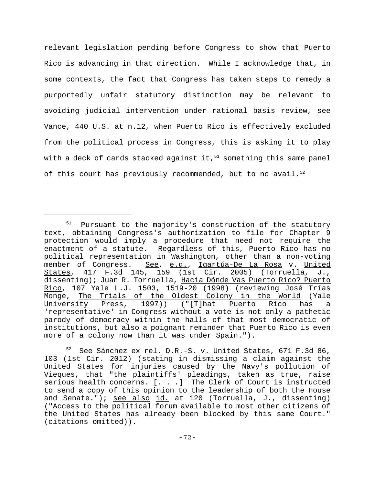relevant legislation pending before Congress to show that Puerto Rico is advancing in that direction. While I acknowledge that, in some contexts, the fact that Congress has taken steps to remedy a purportedly unfair statutory distinction may be relevant to avoiding judicial intervention under rational basis review, see Vance, 440 U.S. at n.12, when Puerto Rico is effectively excluded from the political process in Congress, this is asking it to play with a deck of cards stacked against it, $51$  something this same panel of this court has previously recommended, but to no avail.<sup>52</sup>

 $51$  Pursuant to the majority's construction of the statutory text, obtaining Congress's authorization to file for Chapter 9 protection would imply a procedure that need not require the enactment of a statute. Regardless of this, Puerto Rico has no political representation in Washington, other than a non-voting member of Congress. See, e.g., Igartúa-De La Rosa v. United States, 417 F.3d 145, 159 (1st Cir. 2005) (Torruella, J., dissenting); Juan R. Torruella, Hacia Dónde Vas Puerto Rico? Puerto Rico, 107 Yale L.J. 1503, 1519-20 (1998) (reviewing José Trías Monge, The Trials of the Oldest Colony in the World (Yale University Press, 1997)) ("[T]hat Puerto Rico has a 'representative' in Congress without a vote is not only a pathetic parody of democracy within the halls of that most democratic of institutions, but also a poignant reminder that Puerto Rico is even more of a colony now than it was under Spain.").

<sup>52</sup> See Sánchez ex rel. D.R.-S. v. United States, 671 F.3d 86, 103 (1st Cir. 2012) (stating in dismissing a claim against the United States for injuries caused by the Navy's pollution of Vieques, that "the plaintiffs' pleadings, taken as true, raise serious health concerns. [. . .] The Clerk of Court is instructed to send a copy of this opinion to the leadership of both the House and Senate."); see also id. at 120 (Torruella, J., dissenting) ("Access to the political forum available to most other citizens of the United States has already been blocked by this same Court." (citations omitted)).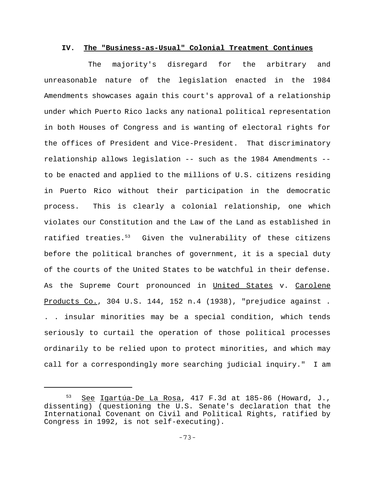## **IV. The "Business-as-Usual" Colonial Treatment Continues**

The majority's disregard for the arbitrary and unreasonable nature of the legislation enacted in the 1984 Amendments showcases again this court's approval of a relationship under which Puerto Rico lacks any national political representation in both Houses of Congress and is wanting of electoral rights for the offices of President and Vice-President. That discriminatory relationship allows legislation -- such as the 1984 Amendments - to be enacted and applied to the millions of U.S. citizens residing in Puerto Rico without their participation in the democratic process. This is clearly a colonial relationship, one which violates our Constitution and the Law of the Land as established in ratified treaties.53 Given the vulnerability of these citizens before the political branches of government, it is a special duty of the courts of the United States to be watchful in their defense. As the Supreme Court pronounced in United States v. Carolene Products Co., 304 U.S. 144, 152 n.4 (1938), "prejudice against . . . insular minorities may be a special condition, which tends seriously to curtail the operation of those political processes ordinarily to be relied upon to protect minorities, and which may call for a correspondingly more searching judicial inquiry." I am

<sup>53</sup> See Igartúa-De La Rosa, 417 F.3d at 185-86 (Howard, J., dissenting) (questioning the U.S. Senate's declaration that the International Covenant on Civil and Political Rights, ratified by Congress in 1992, is not self-executing).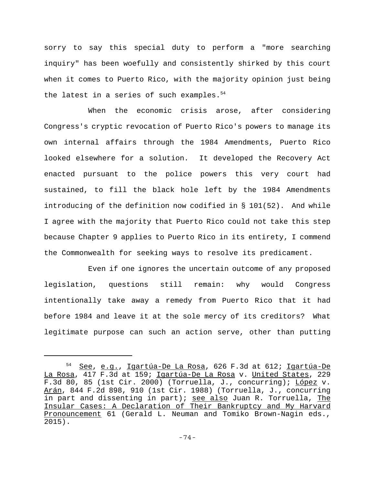sorry to say this special duty to perform a "more searching inquiry" has been woefully and consistently shirked by this court when it comes to Puerto Rico, with the majority opinion just being the latest in a series of such examples.  $54$ 

When the economic crisis arose, after considering Congress's cryptic revocation of Puerto Rico's powers to manage its own internal affairs through the 1984 Amendments, Puerto Rico looked elsewhere for a solution. It developed the Recovery Act enacted pursuant to the police powers this very court had sustained, to fill the black hole left by the 1984 Amendments introducing of the definition now codified in § 101(52). And while I agree with the majority that Puerto Rico could not take this step because Chapter 9 applies to Puerto Rico in its entirety, I commend the Commonwealth for seeking ways to resolve its predicament.

Even if one ignores the uncertain outcome of any proposed legislation, questions still remain: why would Congress intentionally take away a remedy from Puerto Rico that it had before 1984 and leave it at the sole mercy of its creditors? What legitimate purpose can such an action serve, other than putting

<sup>54</sup> See, e.g., Igartúa-De La Rosa, 626 F.3d at 612; Igartúa-De La Rosa, 417 F.3d at 159; Igartúa-De La Rosa v. United States, 229 F.3d 80, 85 (1st Cir. 2000) (Torruella, J., concurring); López v. Arán, 844 F.2d 898, 910 (1st Cir. 1988) (Torruella, J., concurring in part and dissenting in part); see also Juan R. Torruella, The Insular Cases: A Declaration of Their Bankruptcy and My Harvard Pronouncement 61 (Gerald L. Neuman and Tomiko Brown-Nagin eds., 2015).